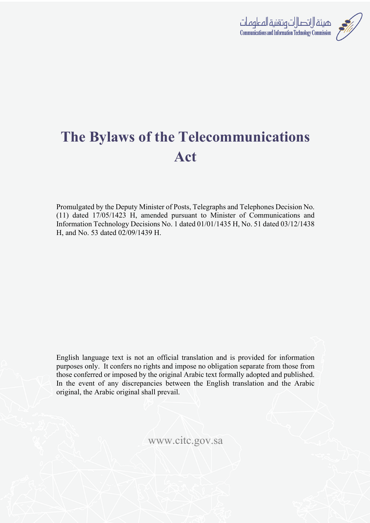

# **The Bylaws of the Telecommunications Act**

Promulgated by the Deputy Minister of Posts, Telegraphs and Telephones Decision No. (11) dated 17/05/1423 H, amended pursuant to Minister of Communications and Information Technology Decisions No. 1 dated 01/01/1435 H, No. 51 dated 03/12/1438 H, and No. 53 dated 02/09/1439 H.

English language text is not an official translation and is provided for information purposes only. It confers no rights and impose no obligation separate from those from those conferred or imposed by the original Arabic text formally adopted and published. In the event of any discrepancies between the English translation and the Arabic original, the Arabic original shall prevail.

www.citc.gov.sa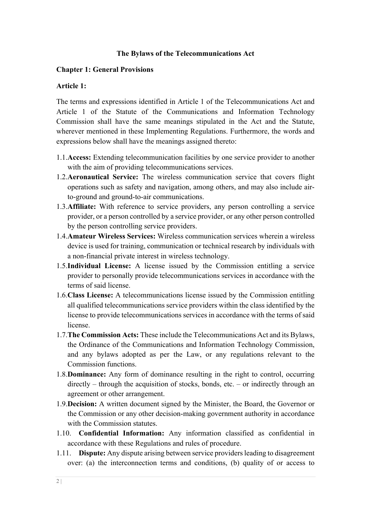## **The Bylaws of the Telecommunications Act**

## **Chapter 1: General Provisions**

## **Article 1:**

The terms and expressions identified in Article 1 of the Telecommunications Act and Article 1 of the Statute of the Communications and Information Technology Commission shall have the same meanings stipulated in the Act and the Statute, wherever mentioned in these Implementing Regulations. Furthermore, the words and expressions below shall have the meanings assigned thereto:

- 1.1.**Access:** Extending telecommunication facilities by one service provider to another with the aim of providing telecommunications services.
- 1.2.**Aeronautical Service:** The wireless communication service that covers flight operations such as safety and navigation, among others, and may also include airto-ground and ground-to-air communications.
- 1.3.**Affiliate:** With reference to service providers, any person controlling a service provider, or a person controlled by a service provider, or any other person controlled by the person controlling service providers.
- 1.4.**Amateur Wireless Services:** Wireless communication services wherein a wireless device is used for training, communication or technical research by individuals with a non-financial private interest in wireless technology.
- 1.5.**Individual License:** A license issued by the Commission entitling a service provider to personally provide telecommunications services in accordance with the terms of said license.
- 1.6.**Class License:** A telecommunications license issued by the Commission entitling all qualified telecommunications service providers within the class identified by the license to provide telecommunications services in accordance with the terms of said license.
- 1.7.**The Commission Acts:** These include the Telecommunications Act and its Bylaws, the Ordinance of the Communications and Information Technology Commission, and any bylaws adopted as per the Law, or any regulations relevant to the Commission functions.
- 1.8.**Dominance:** Any form of dominance resulting in the right to control, occurring directly – through the acquisition of stocks, bonds, etc. – or indirectly through an agreement or other arrangement.
- 1.9.**Decision:** A written document signed by the Minister, the Board, the Governor or the Commission or any other decision-making government authority in accordance with the Commission statutes.
- 1.10. **Confidential Information:** Any information classified as confidential in accordance with these Regulations and rules of procedure.
- 1.11. **Dispute:** Any dispute arising between service providers leading to disagreement over: (a) the interconnection terms and conditions, (b) quality of or access to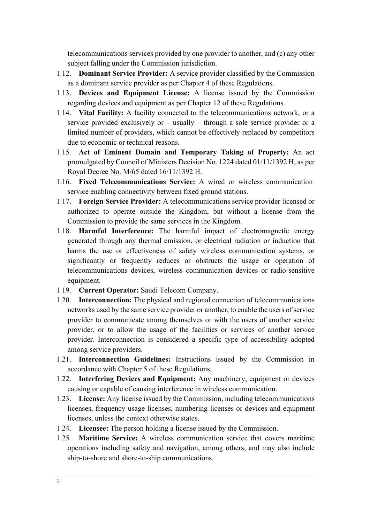telecommunications services provided by one provider to another, and (c) any other subject falling under the Commission jurisdiction.

- 1.12. **Dominant Service Provider:** A service provider classified by the Commission as a dominant service provider as per Chapter 4 of these Regulations.
- 1.13. **Devices and Equipment License:** A license issued by the Commission regarding devices and equipment as per Chapter 12 of these Regulations.
- 1.14. **Vital Facility:** A facility connected to the telecommunications network, or a service provided exclusively or – usually – through a sole service provider or a limited number of providers, which cannot be effectively replaced by competitors due to economic or technical reasons.
- 1.15. **Act of Eminent Domain and Temporary Taking of Property:** An act promulgated by Council of Ministers Decision No. 1224 dated 01/11/1392 H, as per Royal Decree No. M/65 dated 16/11/1392 H.
- 1.16. **Fixed Telecommunications Service:** A wired or wireless communication service enabling connectivity between fixed ground stations.
- 1.17. **Foreign Service Provider:** A telecommunications service provider licensed or authorized to operate outside the Kingdom, but without a license from the Commission to provide the same services in the Kingdom.
- 1.18. **Harmful Interference:** The harmful impact of electromagnetic energy generated through any thermal emission, or electrical radiation or induction that harms the use or effectiveness of safety wireless communication systems, or significantly or frequently reduces or obstructs the usage or operation of telecommunications devices, wireless communication devices or radio-sensitive equipment.
- 1.19. **Current Operator:** Saudi Telecom Company.
- 1.20. **Interconnection:** The physical and regional connection of telecommunications networks used by the same service provider or another, to enable the users of service provider to communicate among themselves or with the users of another service provider, or to allow the usage of the facilities or services of another service provider. Interconnection is considered a specific type of accessibility adopted among service providers.
- 1.21. **Interconnection Guidelines:** Instructions issued by the Commission in accordance with Chapter 5 of these Regulations.
- 1.22. **Interfering Devices and Equipment:** Any machinery, equipment or devices causing or capable of causing interference in wireless communication.
- 1.23. **License:** Any license issued by the Commission, including telecommunications licenses, frequency usage licenses, numbering licenses or devices and equipment licenses, unless the context otherwise states.
- 1.24. **Licensee:** The person holding a license issued by the Commission.
- 1.25. **Maritime Service:** A wireless communication service that covers maritime operations including safety and navigation, among others, and may also include ship-to-shore and shore-to-ship communications.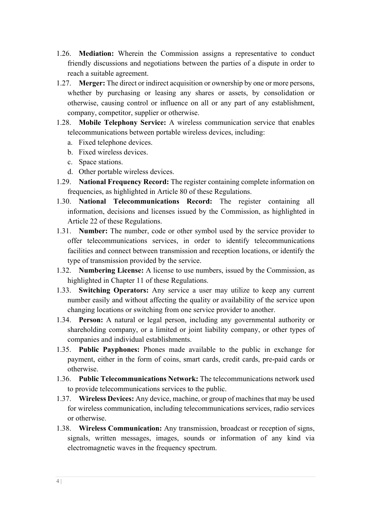- 1.26. **Mediation:** Wherein the Commission assigns a representative to conduct friendly discussions and negotiations between the parties of a dispute in order to reach a suitable agreement.
- 1.27. **Merger:** The direct or indirect acquisition or ownership by one or more persons, whether by purchasing or leasing any shares or assets, by consolidation or otherwise, causing control or influence on all or any part of any establishment, company, competitor, supplier or otherwise.
- 1.28. **Mobile Telephony Service:** A wireless communication service that enables telecommunications between portable wireless devices, including:
	- a. Fixed telephone devices.
	- b. Fixed wireless devices.
	- c. Space stations.
	- d. Other portable wireless devices.
- 1.29. **National Frequency Record:** The register containing complete information on frequencies, as highlighted in Article 80 of these Regulations.
- 1.30. **National Telecommunications Record:** The register containing all information, decisions and licenses issued by the Commission, as highlighted in Article 22 of these Regulations.
- 1.31. **Number:** The number, code or other symbol used by the service provider to offer telecommunications services, in order to identify telecommunications facilities and connect between transmission and reception locations, or identify the type of transmission provided by the service.
- 1.32. **Numbering License:** A license to use numbers, issued by the Commission, as highlighted in Chapter 11 of these Regulations.
- 1.33. **Switching Operators:** Any service a user may utilize to keep any current number easily and without affecting the quality or availability of the service upon changing locations or switching from one service provider to another.
- 1.34. **Person:** A natural or legal person, including any governmental authority or shareholding company, or a limited or joint liability company, or other types of companies and individual establishments.
- 1.35. **Public Payphones:** Phones made available to the public in exchange for payment, either in the form of coins, smart cards, credit cards, pre-paid cards or otherwise.
- 1.36. **Public Telecommunications Network:** The telecommunications network used to provide telecommunications services to the public.
- 1.37. **Wireless Devices:** Any device, machine, or group of machines that may be used for wireless communication, including telecommunications services, radio services or otherwise.
- 1.38. **Wireless Communication:** Any transmission, broadcast or reception of signs, signals, written messages, images, sounds or information of any kind via electromagnetic waves in the frequency spectrum.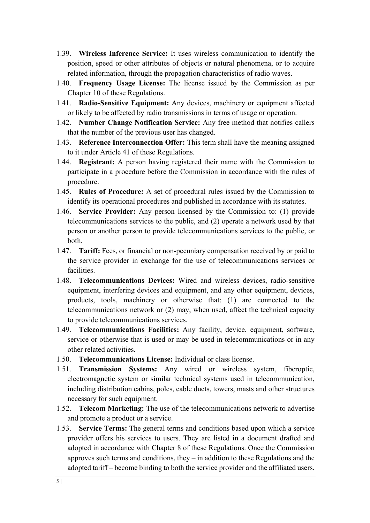- 1.39. **Wireless Inference Service:** It uses wireless communication to identify the position, speed or other attributes of objects or natural phenomena, or to acquire related information, through the propagation characteristics of radio waves.
- 1.40. **Frequency Usage License:** The license issued by the Commission as per Chapter 10 of these Regulations.
- 1.41. **Radio-Sensitive Equipment:** Any devices, machinery or equipment affected or likely to be affected by radio transmissions in terms of usage or operation.
- 1.42. **Number Change Notification Service:** Any free method that notifies callers that the number of the previous user has changed.
- 1.43. **Reference Interconnection Offer:** This term shall have the meaning assigned to it under Article 41 of these Regulations.
- 1.44. **Registrant:** A person having registered their name with the Commission to participate in a procedure before the Commission in accordance with the rules of procedure.
- 1.45. **Rules of Procedure:** A set of procedural rules issued by the Commission to identify its operational procedures and published in accordance with its statutes.
- 1.46. **Service Provider:** Any person licensed by the Commission to: (1) provide telecommunications services to the public, and (2) operate a network used by that person or another person to provide telecommunications services to the public, or both.
- 1.47. **Tariff:** Fees, or financial or non-pecuniary compensation received by or paid to the service provider in exchange for the use of telecommunications services or facilities.
- 1.48. **Telecommunications Devices:** Wired and wireless devices, radio-sensitive equipment, interfering devices and equipment, and any other equipment, devices, products, tools, machinery or otherwise that: (1) are connected to the telecommunications network or (2) may, when used, affect the technical capacity to provide telecommunications services.
- 1.49. **Telecommunications Facilities:** Any facility, device, equipment, software, service or otherwise that is used or may be used in telecommunications or in any other related activities.
- 1.50. **Telecommunications License:** Individual or class license.
- 1.51. **Transmission Systems:** Any wired or wireless system, fiberoptic, electromagnetic system or similar technical systems used in telecommunication, including distribution cabins, poles, cable ducts, towers, masts and other structures necessary for such equipment.
- 1.52. **Telecom Marketing:** The use of the telecommunications network to advertise and promote a product or a service.
- 1.53. **Service Terms:** The general terms and conditions based upon which a service provider offers his services to users. They are listed in a document drafted and adopted in accordance with Chapter 8 of these Regulations. Once the Commission approves such terms and conditions, they – in addition to these Regulations and the adopted tariff – become binding to both the service provider and the affiliated users.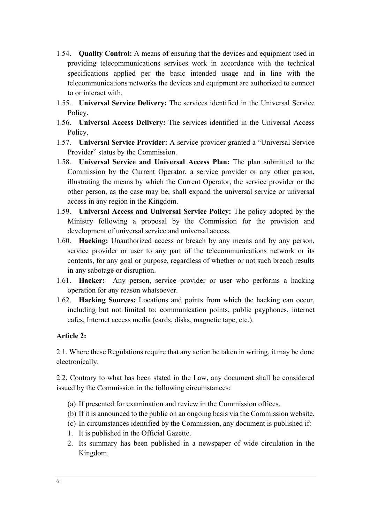- 1.54. **Quality Control:** A means of ensuring that the devices and equipment used in providing telecommunications services work in accordance with the technical specifications applied per the basic intended usage and in line with the telecommunications networks the devices and equipment are authorized to connect to or interact with.
- 1.55. **Universal Service Delivery:** The services identified in the Universal Service Policy.
- 1.56. **Universal Access Delivery:** The services identified in the Universal Access Policy.
- 1.57. **Universal Service Provider:** A service provider granted a "Universal Service Provider" status by the Commission.
- 1.58. **Universal Service and Universal Access Plan:** The plan submitted to the Commission by the Current Operator, a service provider or any other person, illustrating the means by which the Current Operator, the service provider or the other person, as the case may be, shall expand the universal service or universal access in any region in the Kingdom.
- 1.59. **Universal Access and Universal Service Policy:** The policy adopted by the Ministry following a proposal by the Commission for the provision and development of universal service and universal access.
- 1.60. **Hacking:** Unauthorized access or breach by any means and by any person, service provider or user to any part of the telecommunications network or its contents, for any goal or purpose, regardless of whether or not such breach results in any sabotage or disruption.
- 1.61. **Hacker:** Any person, service provider or user who performs a hacking operation for any reason whatsoever.
- 1.62. **Hacking Sources:** Locations and points from which the hacking can occur, including but not limited to: communication points, public payphones, internet cafes, Internet access media (cards, disks, magnetic tape, etc.).

# **Article 2:**

2.1. Where these Regulations require that any action be taken in writing, it may be done electronically.

2.2. Contrary to what has been stated in the Law, any document shall be considered issued by the Commission in the following circumstances:

- (a) If presented for examination and review in the Commission offices.
- (b) If it is announced to the public on an ongoing basis via the Commission website.
- (c) In circumstances identified by the Commission, any document is published if:
- 1. It is published in the Official Gazette.
- 2. Its summary has been published in a newspaper of wide circulation in the Kingdom.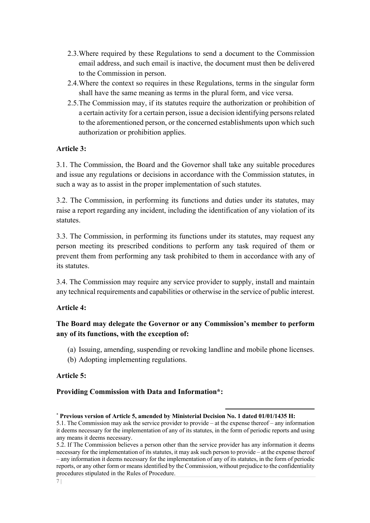- 2.3.Where required by these Regulations to send a document to the Commission email address, and such email is inactive, the document must then be delivered to the Commission in person.
- 2.4.Where the context so requires in these Regulations, terms in the singular form shall have the same meaning as terms in the plural form, and vice versa.
- 2.5.The Commission may, if its statutes require the authorization or prohibition of a certain activity for a certain person, issue a decision identifying persons related to the aforementioned person, or the concerned establishments upon which such authorization or prohibition applies.

## **Article 3:**

3.1. The Commission, the Board and the Governor shall take any suitable procedures and issue any regulations or decisions in accordance with the Commission statutes, in such a way as to assist in the proper implementation of such statutes.

3.2. The Commission, in performing its functions and duties under its statutes, may raise a report regarding any incident, including the identification of any violation of its statutes.

3.3. The Commission, in performing its functions under its statutes, may request any person meeting its prescribed conditions to perform any task required of them or prevent them from performing any task prohibited to them in accordance with any of its statutes.

3.4. The Commission may require any service provider to supply, install and maintain any technical requirements and capabilities or otherwise in the service of public interest.

## **Article 4:**

# **The Board may delegate the Governor or any Commission's member to perform any of its functions, with the exception of:**

- (a) Issuing, amending, suspending or revoking landline and mobile phone licenses.
- (b) Adopting implementing regulations.

## **Article 5:**

# **Providing Commission with Data and Information\*:**

<sup>\*</sup> **Previous version of Article 5, amended by Ministerial Decision No. 1 dated 01/01/1435 H:** 

<sup>5.1.</sup> The Commission may ask the service provider to provide – at the expense thereof – any information it deems necessary for the implementation of any of its statutes, in the form of periodic reports and using any means it deems necessary.

<sup>5.2.</sup> If The Commission believes a person other than the service provider has any information it deems necessary for the implementation of its statutes, it may ask such person to provide – at the expense thereof – any information it deems necessary for the implementation of any of its statutes, in the form of periodic reports, or any other form or means identified by the Commission, without prejudice to the confidentiality procedures stipulated in the Rules of Procedure.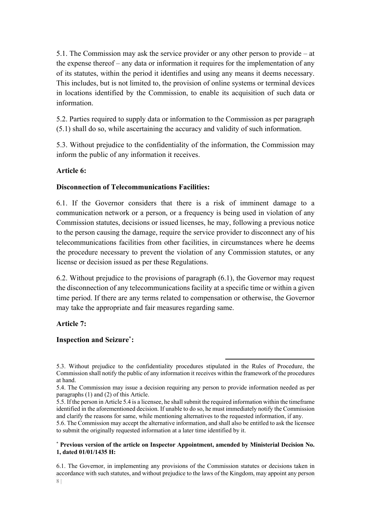5.1. The Commission may ask the service provider or any other person to provide – at the expense thereof – any data or information it requires for the implementation of any of its statutes, within the period it identifies and using any means it deems necessary. This includes, but is not limited to, the provision of online systems or terminal devices in locations identified by the Commission, to enable its acquisition of such data or information.

5.2. Parties required to supply data or information to the Commission as per paragraph (5.1) shall do so, while ascertaining the accuracy and validity of such information.

5.3. Without prejudice to the confidentiality of the information, the Commission may inform the public of any information it receives.

## **Article 6:**

## **Disconnection of Telecommunications Facilities:**

6.1. If the Governor considers that there is a risk of imminent damage to a communication network or a person, or a frequency is being used in violation of any Commission statutes, decisions or issued licenses, he may, following a previous notice to the person causing the damage, require the service provider to disconnect any of his telecommunications facilities from other facilities, in circumstances where he deems the procedure necessary to prevent the violation of any Commission statutes, or any license or decision issued as per these Regulations.

6.2. Without prejudice to the provisions of paragraph (6.1), the Governor may request the disconnection of any telecommunications facility at a specific time or within a given time period. If there are any terms related to compensation or otherwise, the Governor may take the appropriate and fair measures regarding same.

# **Article 7:**

## **Inspection and Seizure\*:**

#### \* **Previous version of the article on Inspector Appointment, amended by Ministerial Decision No. 1, dated 01/01/1435 H:**

8 | 6.1. The Governor, in implementing any provisions of the Commission statutes or decisions taken in accordance with such statutes, and without prejudice to the laws of the Kingdom, may appoint any person

<sup>5.3.</sup> Without prejudice to the confidentiality procedures stipulated in the Rules of Procedure, the Commission shall notify the public of any information it receives within the framework of the procedures at hand.

<sup>5.4.</sup> The Commission may issue a decision requiring any person to provide information needed as per paragraphs (1) and (2) of this Article.

<sup>5.5.</sup> If the person in Article 5.4 is a licensee, he shall submit the required information within the timeframe identified in the aforementioned decision. If unable to do so, he must immediately notify the Commission and clarify the reasons for same, while mentioning alternatives to the requested information, if any.

<sup>5.6.</sup> The Commission may accept the alternative information, and shall also be entitled to ask the licensee to submit the originally requested information at a later time identified by it.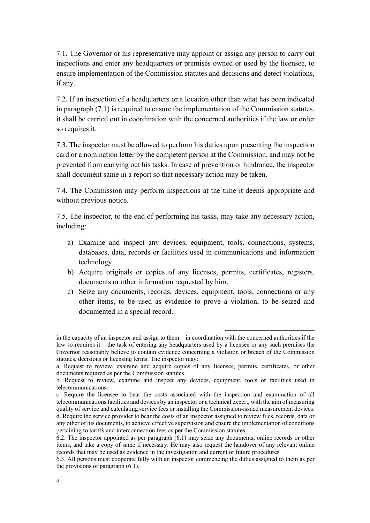7.1. The Governor or his representative may appoint or assign any person to carry out inspections and enter any headquarters or premises owned or used by the licensee, to ensure implementation of the Commission statutes and decisions and detect violations, if any.

7.2. If an inspection of a headquarters or a location other than what has been indicated in paragraph (7.1) is required to ensure the implementation of the Commission statutes, it shall be carried out in coordination with the concerned authorities if the law or order so requires it.

7.3. The inspector must be allowed to perform his duties upon presenting the inspection card or a nomination letter by the competent person at the Commission, and may not be prevented from carrying out his tasks. In case of prevention or hindrance, the inspector shall document same in a report so that necessary action may be taken.

7.4. The Commission may perform inspections at the time it deems appropriate and without previous notice.

7.5. The inspector, to the end of performing his tasks, may take any necessary action, including:

- a) Examine and inspect any devices, equipment, tools, connections, systems, databases, data, records or facilities used in communications and information technology.
- b) Acquire originals or copies of any licenses, permits, certificates, registers, documents or other information requested by him.
- c) Seize any documents, records, devices, equipment, tools, connections or any other items, to be used as evidence to prove a violation, to be seized and documented in a special record.

in the capacity of an inspector and assign to them – in coordination with the concerned authorities if the law so requires it – the task of entering any headquarters used by a licensee or any such premises the Governor reasonably believe to contain evidence concerning a violation or breach of the Commission statutes, decisions or licensing terms. The inspector may:

a. Request to review, examine and acquire copies of any licenses, permits, certificates, or other documents required as per the Commission statutes.

b. Request to review, examine and inspect any devices, equipment, tools or facilities used in telecommunications.

c. Require the licensee to bear the costs associated with the inspection and examination of all telecommunications facilities and devices by an inspector or a technical expert, with the aim of measuring quality of service and calculating service fees or installing the Commission-issued measurement devices. d. Require the service provider to bear the costs of an inspector assigned to review files, records, data or any other of his documents, to achieve effective supervision and ensure the implementation of conditions pertaining to tariffs and interconnection fees as per the Commission statutes.

<sup>6.2.</sup> The inspector appointed as per paragraph (6.1) may seize any documents, online records or other items, and take a copy of same if necessary. He may also request the handover of any relevant online records that may be used as evidence in the investigation and current or future procedures.

<sup>6.3.</sup> All persons must cooperate fully with an inspector commencing the duties assigned to them as per the provisions of paragraph (6.1).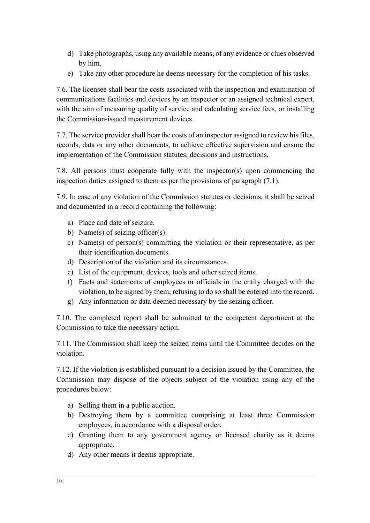- d) Take photographs, using any available means, of any evidence or clues observed by him.
- e) Take any other procedure he deems necessary for the completion of his tasks.

7.6. The licensee shall bear the costs associated with the inspection and examination of communications facilities and devices by an inspector or an assigned technical expert, with the aim of measuring quality of service and calculating service fees, or installing the Commission-issued measurement devices.

7.7. The service provider shall bear the costs of an inspector assigned to review his files, records, data or any other documents, to achieve effective supervision and ensure the implementation of the Commission statutes, decisions and instructions.

7.8. All persons must cooperate fully with the inspector(s) upon commencing the inspection duties assigned to them as per the provisions of paragraph (7.1).

7.9. In case of any violation of the Commission statutes or decisions, it shall be seized and documented in a record containing the following:

- a) Place and date of seizure.
- b) Name(s) of seizing officer(s).
- c) Name(s) of person(s) committing the violation or their representative, as per their identification documents.
- d) Description of the violation and its circumstances.
- e) List of the equipment, devices, tools and other seized items.
- f) Facts and statements of employees or officials in the entity charged with the violation, to be signed by them; refusing to do so shall be entered into the record.
- g) Any information or data deemed necessary by the seizing officer.

7.10. The completed report shall be submitted to the competent department at the Commission to take the necessary action.

7.11. The Commission shall keep the seized items until the Committee decides on the violation.

7.12. If the violation is established pursuant to a decision issued by the Committee, the Commission may dispose of the objects subject of the violation using any of the procedures below:

- a) Selling them in a public auction.
- b) Destroying them by a committee comprising at least three Commission employees, in accordance with a disposal order.
- c) Granting them to any government agency or licensed charity as it deems appropriate.
- d) Any other means it deems appropriate.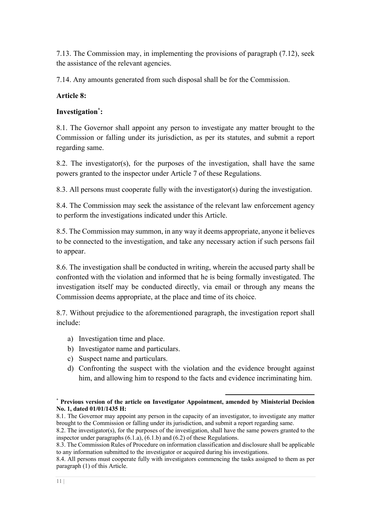7.13. The Commission may, in implementing the provisions of paragraph (7.12), seek the assistance of the relevant agencies.

7.14. Any amounts generated from such disposal shall be for the Commission.

# **Article 8:**

# **Investigation\* :**

8.1. The Governor shall appoint any person to investigate any matter brought to the Commission or falling under its jurisdiction, as per its statutes, and submit a report regarding same.

8.2. The investigator(s), for the purposes of the investigation, shall have the same powers granted to the inspector under Article 7 of these Regulations.

8.3. All persons must cooperate fully with the investigator(s) during the investigation.

8.4. The Commission may seek the assistance of the relevant law enforcement agency to perform the investigations indicated under this Article.

8.5. The Commission may summon, in any way it deems appropriate, anyone it believes to be connected to the investigation, and take any necessary action if such persons fail to appear.

8.6. The investigation shall be conducted in writing, wherein the accused party shall be confronted with the violation and informed that he is being formally investigated. The investigation itself may be conducted directly, via email or through any means the Commission deems appropriate, at the place and time of its choice.

8.7. Without prejudice to the aforementioned paragraph, the investigation report shall include:

- a) Investigation time and place.
- b) Investigator name and particulars.
- c) Suspect name and particulars.
- d) Confronting the suspect with the violation and the evidence brought against him, and allowing him to respond to the facts and evidence incriminating him.

<sup>\*</sup> **Previous version of the article on Investigator Appointment, amended by Ministerial Decision No. 1, dated 01/01/1435 H:** 

<sup>8.1.</sup> The Governor may appoint any person in the capacity of an investigator, to investigate any matter brought to the Commission or falling under its jurisdiction, and submit a report regarding same.

<sup>8.2.</sup> The investigator(s), for the purposes of the investigation, shall have the same powers granted to the inspector under paragraphs (6.1.a), (6.1.b) and (6.2) of these Regulations.

<sup>8.3.</sup> The Commission Rules of Procedure on information classification and disclosure shall be applicable to any information submitted to the investigator or acquired during his investigations.

<sup>8.4.</sup> All persons must cooperate fully with investigators commencing the tasks assigned to them as per paragraph (1) of this Article.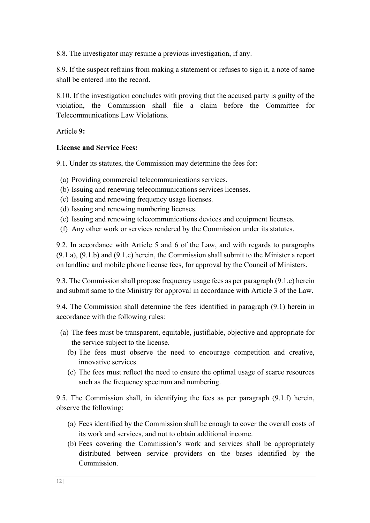8.8. The investigator may resume a previous investigation, if any.

8.9. If the suspect refrains from making a statement or refuses to sign it, a note of same shall be entered into the record.

8.10. If the investigation concludes with proving that the accused party is guilty of the violation, the Commission shall file a claim before the Committee for Telecommunications Law Violations.

Article **9:**

# **License and Service Fees:**

9.1. Under its statutes, the Commission may determine the fees for:

- (a) Providing commercial telecommunications services.
- (b) Issuing and renewing telecommunications services licenses.
- (c) Issuing and renewing frequency usage licenses.
- (d) Issuing and renewing numbering licenses.
- (e) Issuing and renewing telecommunications devices and equipment licenses.
- (f) Any other work or services rendered by the Commission under its statutes.

9.2. In accordance with Article 5 and 6 of the Law, and with regards to paragraphs (9.1.a), (9.1.b) and (9.1.c) herein, the Commission shall submit to the Minister a report on landline and mobile phone license fees, for approval by the Council of Ministers.

9.3. The Commission shall propose frequency usage fees as per paragraph (9.1.c) herein and submit same to the Ministry for approval in accordance with Article 3 of the Law.

9.4. The Commission shall determine the fees identified in paragraph (9.1) herein in accordance with the following rules:

- (a) The fees must be transparent, equitable, justifiable, objective and appropriate for the service subject to the license.
	- (b) The fees must observe the need to encourage competition and creative, innovative services.
	- (c) The fees must reflect the need to ensure the optimal usage of scarce resources such as the frequency spectrum and numbering.

9.5. The Commission shall, in identifying the fees as per paragraph (9.1.f) herein, observe the following:

- (a) Fees identified by the Commission shall be enough to cover the overall costs of its work and services, and not to obtain additional income.
- (b) Fees covering the Commission's work and services shall be appropriately distributed between service providers on the bases identified by the Commission.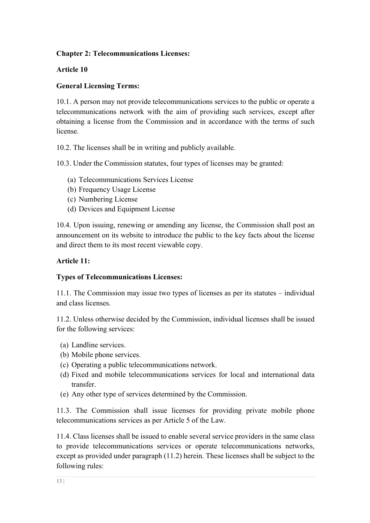# **Chapter 2: Telecommunications Licenses:**

## **Article 10**

## **General Licensing Terms:**

10.1. A person may not provide telecommunications services to the public or operate a telecommunications network with the aim of providing such services, except after obtaining a license from the Commission and in accordance with the terms of such license.

10.2. The licenses shall be in writing and publicly available.

10.3. Under the Commission statutes, four types of licenses may be granted:

- (a) Telecommunications Services License
- (b) Frequency Usage License
- (c) Numbering License
- (d) Devices and Equipment License

10.4. Upon issuing, renewing or amending any license, the Commission shall post an announcement on its website to introduce the public to the key facts about the license and direct them to its most recent viewable copy.

## **Article 11:**

## **Types of Telecommunications Licenses:**

11.1. The Commission may issue two types of licenses as per its statutes – individual and class licenses.

11.2. Unless otherwise decided by the Commission, individual licenses shall be issued for the following services:

- (a) Landline services.
- (b) Mobile phone services.
- (c) Operating a public telecommunications network.
- (d) Fixed and mobile telecommunications services for local and international data transfer.
- (e) Any other type of services determined by the Commission.

11.3. The Commission shall issue licenses for providing private mobile phone telecommunications services as per Article 5 of the Law.

11.4. Class licenses shall be issued to enable several service providers in the same class to provide telecommunications services or operate telecommunications networks, except as provided under paragraph (11.2) herein. These licenses shall be subject to the following rules: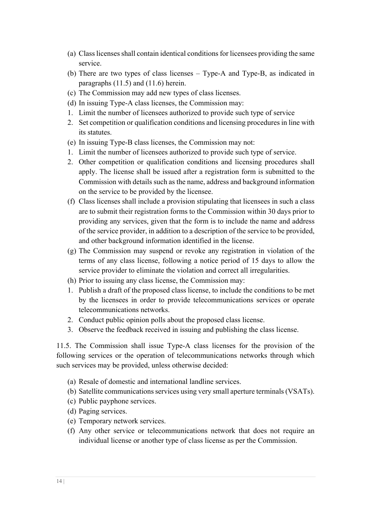- (a) Class licenses shall contain identical conditions for licensees providing the same service.
- (b) There are two types of class licenses Type-A and Type-B, as indicated in paragraphs (11.5) and (11.6) herein.
- (c) The Commission may add new types of class licenses.
- (d) In issuing Type-A class licenses, the Commission may:
- 1. Limit the number of licensees authorized to provide such type of service
- 2. Set competition or qualification conditions and licensing procedures in line with its statutes.
- (e) In issuing Type-B class licenses, the Commission may not:
- 1. Limit the number of licensees authorized to provide such type of service.
- 2. Other competition or qualification conditions and licensing procedures shall apply. The license shall be issued after a registration form is submitted to the Commission with details such as the name, address and background information on the service to be provided by the licensee.
- (f) Class licenses shall include a provision stipulating that licensees in such a class are to submit their registration forms to the Commission within 30 days prior to providing any services, given that the form is to include the name and address of the service provider, in addition to a description of the service to be provided, and other background information identified in the license.
- (g) The Commission may suspend or revoke any registration in violation of the terms of any class license, following a notice period of 15 days to allow the service provider to eliminate the violation and correct all irregularities.
- (h) Prior to issuing any class license, the Commission may:
- 1. Publish a draft of the proposed class license, to include the conditions to be met by the licensees in order to provide telecommunications services or operate telecommunications networks.
- 2. Conduct public opinion polls about the proposed class license.
- 3. Observe the feedback received in issuing and publishing the class license.

11.5. The Commission shall issue Type-A class licenses for the provision of the following services or the operation of telecommunications networks through which such services may be provided, unless otherwise decided:

- (a) Resale of domestic and international landline services.
- (b) Satellite communications services using very small aperture terminals (VSATs).
- (c) Public payphone services.
- (d) Paging services.
- (e) Temporary network services.
- (f) Any other service or telecommunications network that does not require an individual license or another type of class license as per the Commission.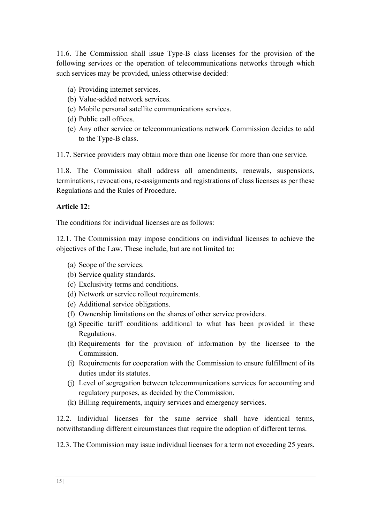11.6. The Commission shall issue Type-B class licenses for the provision of the following services or the operation of telecommunications networks through which such services may be provided, unless otherwise decided:

- (a) Providing internet services.
- (b) Value-added network services.
- (c) Mobile personal satellite communications services.
- (d) Public call offices.
- (e) Any other service or telecommunications network Commission decides to add to the Type-B class.

11.7. Service providers may obtain more than one license for more than one service.

11.8. The Commission shall address all amendments, renewals, suspensions, terminations, revocations, re-assignments and registrations of class licenses as per these Regulations and the Rules of Procedure.

# **Article 12:**

The conditions for individual licenses are as follows:

12.1. The Commission may impose conditions on individual licenses to achieve the objectives of the Law. These include, but are not limited to:

- (a) Scope of the services.
- (b) Service quality standards.
- (c) Exclusivity terms and conditions.
- (d) Network or service rollout requirements.
- (e) Additional service obligations.
- (f) Ownership limitations on the shares of other service providers.
- (g) Specific tariff conditions additional to what has been provided in these Regulations.
- (h) Requirements for the provision of information by the licensee to the Commission.
- (i) Requirements for cooperation with the Commission to ensure fulfillment of its duties under its statutes.
- (j) Level of segregation between telecommunications services for accounting and regulatory purposes, as decided by the Commission.
- (k) Billing requirements, inquiry services and emergency services.

12.2. Individual licenses for the same service shall have identical terms, notwithstanding different circumstances that require the adoption of different terms.

12.3. The Commission may issue individual licenses for a term not exceeding 25 years.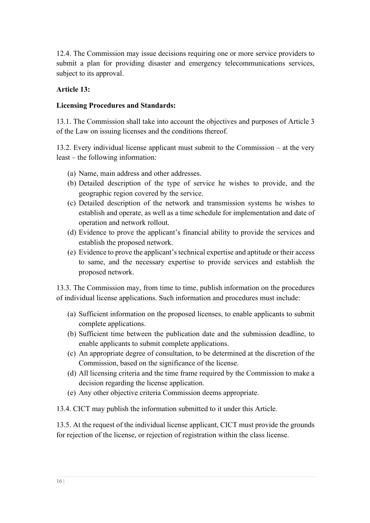12.4. The Commission may issue decisions requiring one or more service providers to submit a plan for providing disaster and emergency telecommunications services, subject to its approval.

# **Article 13:**

## **Licensing Procedures and Standards:**

13.1. The Commission shall take into account the objectives and purposes of Article 3 of the Law on issuing licenses and the conditions thereof.

13.2. Every individual license applicant must submit to the Commission – at the very least – the following information:

- (a) Name, main address and other addresses.
- (b) Detailed description of the type of service he wishes to provide, and the geographic region covered by the service.
- (c) Detailed description of the network and transmission systems he wishes to establish and operate, as well as a time schedule for implementation and date of operation and network rollout.
- (d) Evidence to prove the applicant's financial ability to provide the services and establish the proposed network.
- (e) Evidence to prove the applicant's technical expertise and aptitude or their access to same, and the necessary expertise to provide services and establish the proposed network.

13.3. The Commission may, from time to time, publish information on the procedures of individual license applications. Such information and procedures must include:

- (a) Sufficient information on the proposed licenses, to enable applicants to submit complete applications.
- (b) Sufficient time between the publication date and the submission deadline, to enable applicants to submit complete applications.
- (c) An appropriate degree of consultation, to be determined at the discretion of the Commission, based on the significance of the license.
- (d) All licensing criteria and the time frame required by the Commission to make a decision regarding the license application.
- (e) Any other objective criteria Commission deems appropriate.

13.4. CICT may publish the information submitted to it under this Article.

13.5. At the request of the individual license applicant, CICT must provide the grounds for rejection of the license, or rejection of registration within the class license.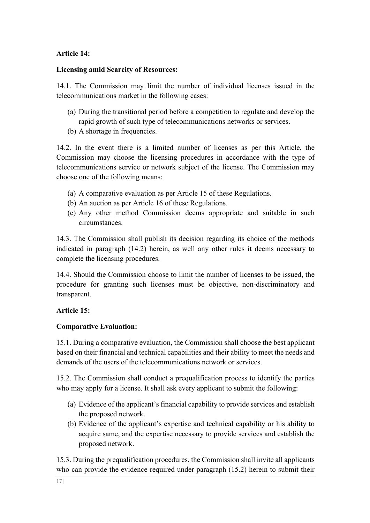# **Article 14:**

# **Licensing amid Scarcity of Resources:**

14.1. The Commission may limit the number of individual licenses issued in the telecommunications market in the following cases:

- (a) During the transitional period before a competition to regulate and develop the rapid growth of such type of telecommunications networks or services.
- (b) A shortage in frequencies.

14.2. In the event there is a limited number of licenses as per this Article, the Commission may choose the licensing procedures in accordance with the type of telecommunications service or network subject of the license. The Commission may choose one of the following means:

- (a) A comparative evaluation as per Article 15 of these Regulations.
- (b) An auction as per Article 16 of these Regulations.
- (c) Any other method Commission deems appropriate and suitable in such circumstances.

14.3. The Commission shall publish its decision regarding its choice of the methods indicated in paragraph (14.2) herein, as well any other rules it deems necessary to complete the licensing procedures.

14.4. Should the Commission choose to limit the number of licenses to be issued, the procedure for granting such licenses must be objective, non-discriminatory and transparent.

# **Article 15:**

# **Comparative Evaluation:**

15.1. During a comparative evaluation, the Commission shall choose the best applicant based on their financial and technical capabilities and their ability to meet the needs and demands of the users of the telecommunications network or services.

15.2. The Commission shall conduct a prequalification process to identify the parties who may apply for a license. It shall ask every applicant to submit the following:

- (a) Evidence of the applicant's financial capability to provide services and establish the proposed network.
- (b) Evidence of the applicant's expertise and technical capability or his ability to acquire same, and the expertise necessary to provide services and establish the proposed network.

15.3. During the prequalification procedures, the Commission shall invite all applicants who can provide the evidence required under paragraph (15.2) herein to submit their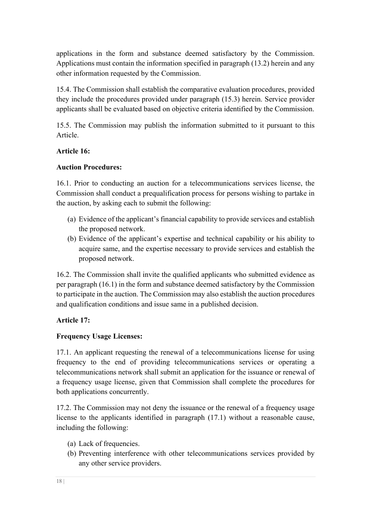applications in the form and substance deemed satisfactory by the Commission. Applications must contain the information specified in paragraph (13.2) herein and any other information requested by the Commission.

15.4. The Commission shall establish the comparative evaluation procedures, provided they include the procedures provided under paragraph (15.3) herein. Service provider applicants shall be evaluated based on objective criteria identified by the Commission.

15.5. The Commission may publish the information submitted to it pursuant to this Article.

# **Article 16:**

# **Auction Procedures:**

16.1. Prior to conducting an auction for a telecommunications services license, the Commission shall conduct a prequalification process for persons wishing to partake in the auction, by asking each to submit the following:

- (a) Evidence of the applicant's financial capability to provide services and establish the proposed network.
- (b) Evidence of the applicant's expertise and technical capability or his ability to acquire same, and the expertise necessary to provide services and establish the proposed network.

16.2. The Commission shall invite the qualified applicants who submitted evidence as per paragraph (16.1) in the form and substance deemed satisfactory by the Commission to participate in the auction. The Commission may also establish the auction procedures and qualification conditions and issue same in a published decision.

# **Article 17:**

# **Frequency Usage Licenses:**

17.1. An applicant requesting the renewal of a telecommunications license for using frequency to the end of providing telecommunications services or operating a telecommunications network shall submit an application for the issuance or renewal of a frequency usage license, given that Commission shall complete the procedures for both applications concurrently.

17.2. The Commission may not deny the issuance or the renewal of a frequency usage license to the applicants identified in paragraph (17.1) without a reasonable cause, including the following:

- (a) Lack of frequencies.
- (b) Preventing interference with other telecommunications services provided by any other service providers.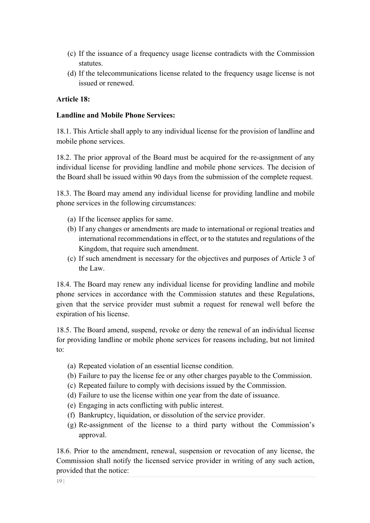- (c) If the issuance of a frequency usage license contradicts with the Commission statutes.
- (d) If the telecommunications license related to the frequency usage license is not issued or renewed.

## **Article 18:**

## **Landline and Mobile Phone Services:**

18.1. This Article shall apply to any individual license for the provision of landline and mobile phone services.

18.2. The prior approval of the Board must be acquired for the re-assignment of any individual license for providing landline and mobile phone services. The decision of the Board shall be issued within 90 days from the submission of the complete request.

18.3. The Board may amend any individual license for providing landline and mobile phone services in the following circumstances:

- (a) If the licensee applies for same.
- (b) If any changes or amendments are made to international or regional treaties and international recommendations in effect, or to the statutes and regulations of the Kingdom, that require such amendment.
- (c) If such amendment is necessary for the objectives and purposes of Article 3 of the Law.

18.4. The Board may renew any individual license for providing landline and mobile phone services in accordance with the Commission statutes and these Regulations, given that the service provider must submit a request for renewal well before the expiration of his license.

18.5. The Board amend, suspend, revoke or deny the renewal of an individual license for providing landline or mobile phone services for reasons including, but not limited to:

- (a) Repeated violation of an essential license condition.
- (b) Failure to pay the license fee or any other charges payable to the Commission.
- (c) Repeated failure to comply with decisions issued by the Commission.
- (d) Failure to use the license within one year from the date of issuance.
- (e) Engaging in acts conflicting with public interest.
- (f) Bankruptcy, liquidation, or dissolution of the service provider.
- (g) Re-assignment of the license to a third party without the Commission's approval.

18.6. Prior to the amendment, renewal, suspension or revocation of any license, the Commission shall notify the licensed service provider in writing of any such action, provided that the notice: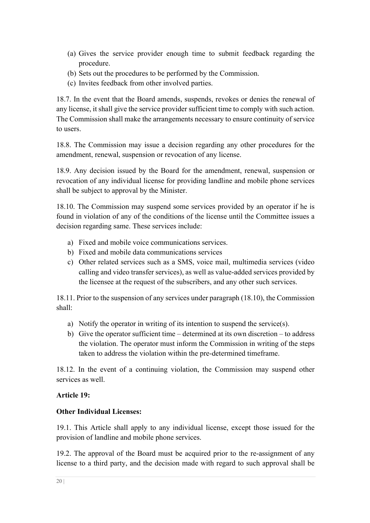- (a) Gives the service provider enough time to submit feedback regarding the procedure.
- (b) Sets out the procedures to be performed by the Commission.
- (c) Invites feedback from other involved parties.

18.7. In the event that the Board amends, suspends, revokes or denies the renewal of any license, it shall give the service provider sufficient time to comply with such action. The Commission shall make the arrangements necessary to ensure continuity of service to users.

18.8. The Commission may issue a decision regarding any other procedures for the amendment, renewal, suspension or revocation of any license.

18.9. Any decision issued by the Board for the amendment, renewal, suspension or revocation of any individual license for providing landline and mobile phone services shall be subject to approval by the Minister.

18.10. The Commission may suspend some services provided by an operator if he is found in violation of any of the conditions of the license until the Committee issues a decision regarding same. These services include:

- a) Fixed and mobile voice communications services.
- b) Fixed and mobile data communications services
- c) Other related services such as a SMS, voice mail, multimedia services (video calling and video transfer services), as well as value-added services provided by the licensee at the request of the subscribers, and any other such services.

18.11. Prior to the suspension of any services under paragraph (18.10), the Commission shall:

- a) Notify the operator in writing of its intention to suspend the service(s).
- b) Give the operator sufficient time determined at its own discretion to address the violation. The operator must inform the Commission in writing of the steps taken to address the violation within the pre-determined timeframe.

18.12. In the event of a continuing violation, the Commission may suspend other services as well.

## **Article 19:**

## **Other Individual Licenses:**

19.1. This Article shall apply to any individual license, except those issued for the provision of landline and mobile phone services.

19.2. The approval of the Board must be acquired prior to the re-assignment of any license to a third party, and the decision made with regard to such approval shall be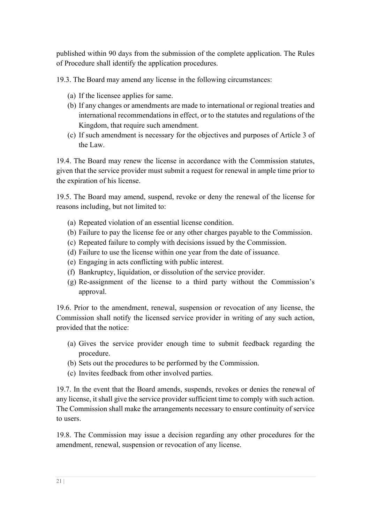published within 90 days from the submission of the complete application. The Rules of Procedure shall identify the application procedures.

19.3. The Board may amend any license in the following circumstances:

- (a) If the licensee applies for same.
- (b) If any changes or amendments are made to international or regional treaties and international recommendations in effect, or to the statutes and regulations of the Kingdom, that require such amendment.
- (c) If such amendment is necessary for the objectives and purposes of Article 3 of the Law.

19.4. The Board may renew the license in accordance with the Commission statutes, given that the service provider must submit a request for renewal in ample time prior to the expiration of his license.

19.5. The Board may amend, suspend, revoke or deny the renewal of the license for reasons including, but not limited to:

- (a) Repeated violation of an essential license condition.
- (b) Failure to pay the license fee or any other charges payable to the Commission.
- (c) Repeated failure to comply with decisions issued by the Commission.
- (d) Failure to use the license within one year from the date of issuance.
- (e) Engaging in acts conflicting with public interest.
- (f) Bankruptcy, liquidation, or dissolution of the service provider.
- (g) Re-assignment of the license to a third party without the Commission's approval.

19.6. Prior to the amendment, renewal, suspension or revocation of any license, the Commission shall notify the licensed service provider in writing of any such action, provided that the notice:

- (a) Gives the service provider enough time to submit feedback regarding the procedure.
- (b) Sets out the procedures to be performed by the Commission.
- (c) Invites feedback from other involved parties.

19.7. In the event that the Board amends, suspends, revokes or denies the renewal of any license, it shall give the service provider sufficient time to comply with such action. The Commission shall make the arrangements necessary to ensure continuity of service to users.

19.8. The Commission may issue a decision regarding any other procedures for the amendment, renewal, suspension or revocation of any license.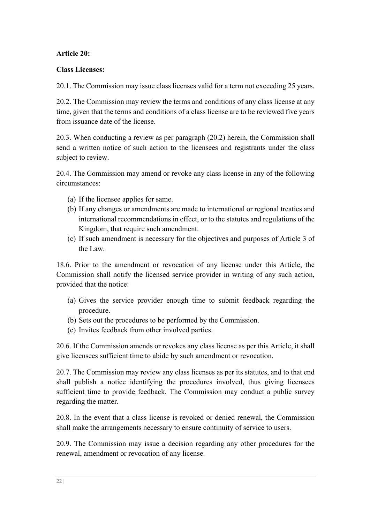# **Article 20:**

# **Class Licenses:**

20.1. The Commission may issue class licenses valid for a term not exceeding 25 years.

20.2. The Commission may review the terms and conditions of any class license at any time, given that the terms and conditions of a class license are to be reviewed five years from issuance date of the license.

20.3. When conducting a review as per paragraph (20.2) herein, the Commission shall send a written notice of such action to the licensees and registrants under the class subject to review.

20.4. The Commission may amend or revoke any class license in any of the following circumstances:

- (a) If the licensee applies for same.
- (b) If any changes or amendments are made to international or regional treaties and international recommendations in effect, or to the statutes and regulations of the Kingdom, that require such amendment.
- (c) If such amendment is necessary for the objectives and purposes of Article 3 of the Law.

18.6. Prior to the amendment or revocation of any license under this Article, the Commission shall notify the licensed service provider in writing of any such action, provided that the notice:

- (a) Gives the service provider enough time to submit feedback regarding the procedure.
- (b) Sets out the procedures to be performed by the Commission.
- (c) Invites feedback from other involved parties.

20.6. If the Commission amends or revokes any class license as per this Article, it shall give licensees sufficient time to abide by such amendment or revocation.

20.7. The Commission may review any class licenses as per its statutes, and to that end shall publish a notice identifying the procedures involved, thus giving licensees sufficient time to provide feedback. The Commission may conduct a public survey regarding the matter.

20.8. In the event that a class license is revoked or denied renewal, the Commission shall make the arrangements necessary to ensure continuity of service to users.

20.9. The Commission may issue a decision regarding any other procedures for the renewal, amendment or revocation of any license.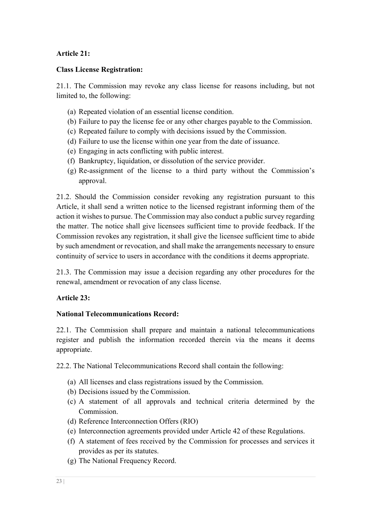# **Article 21:**

# **Class License Registration:**

21.1. The Commission may revoke any class license for reasons including, but not limited to, the following:

- (a) Repeated violation of an essential license condition.
- (b) Failure to pay the license fee or any other charges payable to the Commission.
- (c) Repeated failure to comply with decisions issued by the Commission.
- (d) Failure to use the license within one year from the date of issuance.
- (e) Engaging in acts conflicting with public interest.
- (f) Bankruptcy, liquidation, or dissolution of the service provider.
- (g) Re-assignment of the license to a third party without the Commission's approval.

21.2. Should the Commission consider revoking any registration pursuant to this Article, it shall send a written notice to the licensed registrant informing them of the action it wishes to pursue. The Commission may also conduct a public survey regarding the matter. The notice shall give licensees sufficient time to provide feedback. If the Commission revokes any registration, it shall give the licensee sufficient time to abide by such amendment or revocation, and shall make the arrangements necessary to ensure continuity of service to users in accordance with the conditions it deems appropriate.

21.3. The Commission may issue a decision regarding any other procedures for the renewal, amendment or revocation of any class license.

# **Article 23:**

## **National Telecommunications Record:**

22.1. The Commission shall prepare and maintain a national telecommunications register and publish the information recorded therein via the means it deems appropriate.

22.2. The National Telecommunications Record shall contain the following:

- (a) All licenses and class registrations issued by the Commission.
- (b) Decisions issued by the Commission.
- (c) A statement of all approvals and technical criteria determined by the Commission.
- (d) Reference Interconnection Offers (RIO)
- (e) Interconnection agreements provided under Article 42 of these Regulations.
- (f) A statement of fees received by the Commission for processes and services it provides as per its statutes.
- (g) The National Frequency Record.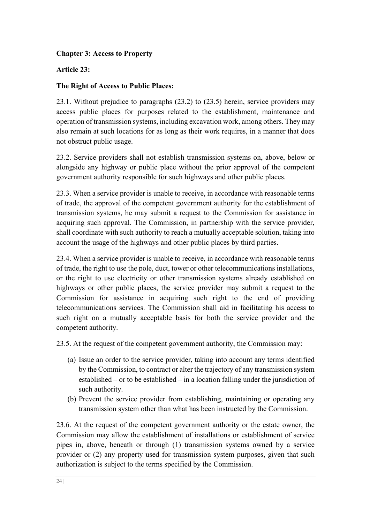# **Chapter 3: Access to Property**

# **Article 23:**

# **The Right of Access to Public Places:**

23.1. Without prejudice to paragraphs (23.2) to (23.5) herein, service providers may access public places for purposes related to the establishment, maintenance and operation of transmission systems, including excavation work, among others. They may also remain at such locations for as long as their work requires, in a manner that does not obstruct public usage.

23.2. Service providers shall not establish transmission systems on, above, below or alongside any highway or public place without the prior approval of the competent government authority responsible for such highways and other public places.

23.3. When a service provider is unable to receive, in accordance with reasonable terms of trade, the approval of the competent government authority for the establishment of transmission systems, he may submit a request to the Commission for assistance in acquiring such approval. The Commission, in partnership with the service provider, shall coordinate with such authority to reach a mutually acceptable solution, taking into account the usage of the highways and other public places by third parties.

23.4. When a service provider is unable to receive, in accordance with reasonable terms of trade, the right to use the pole, duct, tower or other telecommunications installations, or the right to use electricity or other transmission systems already established on highways or other public places, the service provider may submit a request to the Commission for assistance in acquiring such right to the end of providing telecommunications services. The Commission shall aid in facilitating his access to such right on a mutually acceptable basis for both the service provider and the competent authority.

23.5. At the request of the competent government authority, the Commission may:

- (a) Issue an order to the service provider, taking into account any terms identified by the Commission, to contract or alter the trajectory of any transmission system established – or to be established – in a location falling under the jurisdiction of such authority.
- (b) Prevent the service provider from establishing, maintaining or operating any transmission system other than what has been instructed by the Commission.

23.6. At the request of the competent government authority or the estate owner, the Commission may allow the establishment of installations or establishment of service pipes in, above, beneath or through (1) transmission systems owned by a service provider or (2) any property used for transmission system purposes, given that such authorization is subject to the terms specified by the Commission.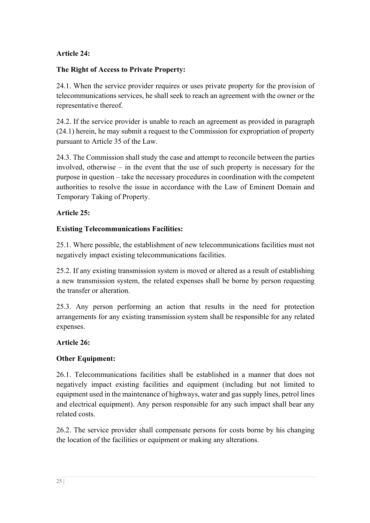# **Article 24:**

# **The Right of Access to Private Property:**

24.1. When the service provider requires or uses private property for the provision of telecommunications services, he shall seek to reach an agreement with the owner or the representative thereof.

24.2. If the service provider is unable to reach an agreement as provided in paragraph (24.1) herein, he may submit a request to the Commission for expropriation of property pursuant to Article 35 of the Law.

24.3. The Commission shall study the case and attempt to reconcile between the parties involved, otherwise – in the event that the use of such property is necessary for the purpose in question – take the necessary procedures in coordination with the competent authorities to resolve the issue in accordance with the Law of Eminent Domain and Temporary Taking of Property.

# **Article 25:**

# **Existing Telecommunications Facilities:**

25.1. Where possible, the establishment of new telecommunications facilities must not negatively impact existing telecommunications facilities.

25.2. If any existing transmission system is moved or altered as a result of establishing a new transmission system, the related expenses shall be borne by person requesting the transfer or alteration.

25.3. Any person performing an action that results in the need for protection arrangements for any existing transmission system shall be responsible for any related expenses.

# **Article 26:**

# **Other Equipment:**

26.1. Telecommunications facilities shall be established in a manner that does not negatively impact existing facilities and equipment (including but not limited to equipment used in the maintenance of highways, water and gas supply lines, petrol lines and electrical equipment). Any person responsible for any such impact shall bear any related costs.

26.2. The service provider shall compensate persons for costs borne by his changing the location of the facilities or equipment or making any alterations.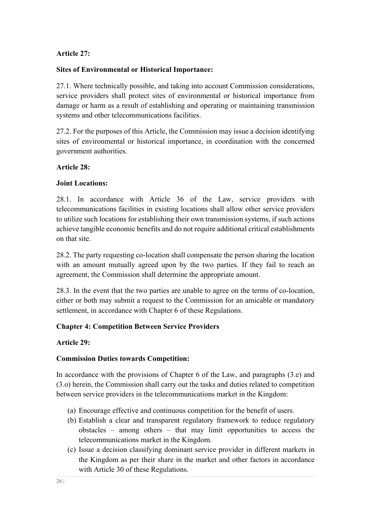# **Article 27:**

# **Sites of Environmental or Historical Importance:**

27.1. Where technically possible, and taking into account Commission considerations, service providers shall protect sites of environmental or historical importance from damage or harm as a result of establishing and operating or maintaining transmission systems and other telecommunications facilities.

27.2. For the purposes of this Article, the Commission may issue a decision identifying sites of environmental or historical importance, in coordination with the concerned government authorities.

## **Article 28:**

# **Joint Locations:**

28.1. In accordance with Article 36 of the Law, service providers with telecommunications facilities in existing locations shall allow other service providers to utilize such locations for establishing their own transmission systems, if such actions achieve tangible economic benefits and do not require additional critical establishments on that site.

28.2. The party requesting co-location shall compensate the person sharing the location with an amount mutually agreed upon by the two parties. If they fail to reach an agreement, the Commission shall determine the appropriate amount.

28.3. In the event that the two parties are unable to agree on the terms of co-location, either or both may submit a request to the Commission for an amicable or mandatory settlement, in accordance with Chapter 6 of these Regulations.

# **Chapter 4: Competition Between Service Providers**

# **Article 29:**

# **Commission Duties towards Competition:**

In accordance with the provisions of Chapter 6 of the Law, and paragraphs (3.e) and (3.o) herein, the Commission shall carry out the tasks and duties related to competition between service providers in the telecommunications market in the Kingdom:

- (a) Encourage effective and continuous competition for the benefit of users.
- (b) Establish a clear and transparent regulatory framework to reduce regulatory obstacles – among others – that may limit opportunities to access the telecommunications market in the Kingdom.
- (c) Issue a decision classifying dominant service provider in different markets in the Kingdom as per their share in the market and other factors in accordance with Article 30 of these Regulations.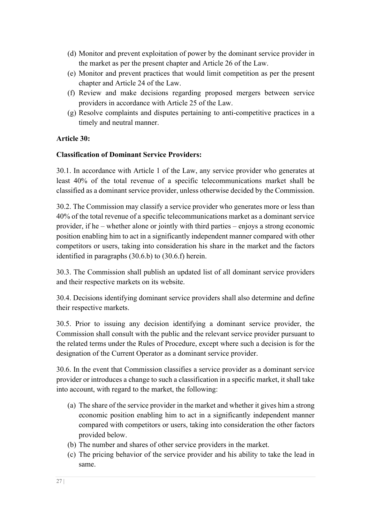- (d) Monitor and prevent exploitation of power by the dominant service provider in the market as per the present chapter and Article 26 of the Law.
- (e) Monitor and prevent practices that would limit competition as per the present chapter and Article 24 of the Law.
- (f) Review and make decisions regarding proposed mergers between service providers in accordance with Article 25 of the Law.
- (g) Resolve complaints and disputes pertaining to anti-competitive practices in a timely and neutral manner.

# **Article 30:**

# **Classification of Dominant Service Providers:**

30.1. In accordance with Article 1 of the Law, any service provider who generates at least 40% of the total revenue of a specific telecommunications market shall be classified as a dominant service provider, unless otherwise decided by the Commission.

30.2. The Commission may classify a service provider who generates more or less than 40% of the total revenue of a specific telecommunications market as a dominant service provider, if he – whether alone or jointly with third parties – enjoys a strong economic position enabling him to act in a significantly independent manner compared with other competitors or users, taking into consideration his share in the market and the factors identified in paragraphs (30.6.b) to (30.6.f) herein.

30.3. The Commission shall publish an updated list of all dominant service providers and their respective markets on its website.

30.4. Decisions identifying dominant service providers shall also determine and define their respective markets.

30.5. Prior to issuing any decision identifying a dominant service provider, the Commission shall consult with the public and the relevant service provider pursuant to the related terms under the Rules of Procedure, except where such a decision is for the designation of the Current Operator as a dominant service provider.

30.6. In the event that Commission classifies a service provider as a dominant service provider or introduces a change to such a classification in a specific market, it shall take into account, with regard to the market, the following:

- (a) The share of the service provider in the market and whether it gives him a strong economic position enabling him to act in a significantly independent manner compared with competitors or users, taking into consideration the other factors provided below.
- (b) The number and shares of other service providers in the market.
- (c) The pricing behavior of the service provider and his ability to take the lead in same.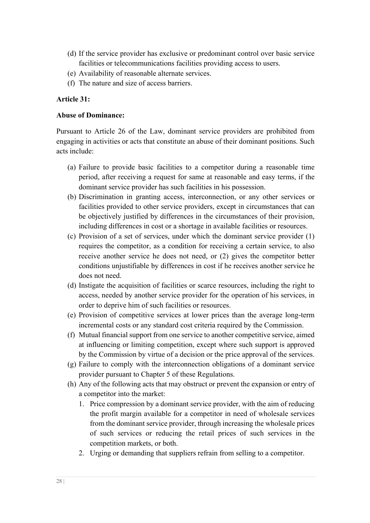- (d) If the service provider has exclusive or predominant control over basic service facilities or telecommunications facilities providing access to users.
- (e) Availability of reasonable alternate services.
- (f) The nature and size of access barriers.

#### **Article 31:**

#### **Abuse of Dominance:**

Pursuant to Article 26 of the Law, dominant service providers are prohibited from engaging in activities or acts that constitute an abuse of their dominant positions. Such acts include:

- (a) Failure to provide basic facilities to a competitor during a reasonable time period, after receiving a request for same at reasonable and easy terms, if the dominant service provider has such facilities in his possession.
- (b) Discrimination in granting access, interconnection, or any other services or facilities provided to other service providers, except in circumstances that can be objectively justified by differences in the circumstances of their provision, including differences in cost or a shortage in available facilities or resources.
- (c) Provision of a set of services, under which the dominant service provider (1) requires the competitor, as a condition for receiving a certain service, to also receive another service he does not need, or (2) gives the competitor better conditions unjustifiable by differences in cost if he receives another service he does not need.
- (d) Instigate the acquisition of facilities or scarce resources, including the right to access, needed by another service provider for the operation of his services, in order to deprive him of such facilities or resources.
- (e) Provision of competitive services at lower prices than the average long-term incremental costs or any standard cost criteria required by the Commission.
- (f) Mutual financial support from one service to another competitive service, aimed at influencing or limiting competition, except where such support is approved by the Commission by virtue of a decision or the price approval of the services.
- (g) Failure to comply with the interconnection obligations of a dominant service provider pursuant to Chapter 5 of these Regulations.
- (h) Any of the following acts that may obstruct or prevent the expansion or entry of a competitor into the market:
	- 1. Price compression by a dominant service provider, with the aim of reducing the profit margin available for a competitor in need of wholesale services from the dominant service provider, through increasing the wholesale prices of such services or reducing the retail prices of such services in the competition markets, or both.
	- 2. Urging or demanding that suppliers refrain from selling to a competitor.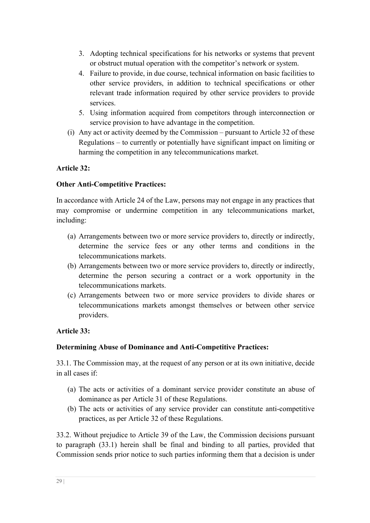- 3. Adopting technical specifications for his networks or systems that prevent or obstruct mutual operation with the competitor's network or system.
- 4. Failure to provide, in due course, technical information on basic facilities to other service providers, in addition to technical specifications or other relevant trade information required by other service providers to provide services.
- 5. Using information acquired from competitors through interconnection or service provision to have advantage in the competition.
- (i) Any act or activity deemed by the Commission pursuant to Article 32 of these Regulations – to currently or potentially have significant impact on limiting or harming the competition in any telecommunications market.

# **Article 32:**

## **Other Anti-Competitive Practices:**

In accordance with Article 24 of the Law, persons may not engage in any practices that may compromise or undermine competition in any telecommunications market, including:

- (a) Arrangements between two or more service providers to, directly or indirectly, determine the service fees or any other terms and conditions in the telecommunications markets.
- (b) Arrangements between two or more service providers to, directly or indirectly, determine the person securing a contract or a work opportunity in the telecommunications markets.
- (c) Arrangements between two or more service providers to divide shares or telecommunications markets amongst themselves or between other service providers.

# **Article 33:**

## **Determining Abuse of Dominance and Anti-Competitive Practices:**

33.1. The Commission may, at the request of any person or at its own initiative, decide in all cases if:

- (a) The acts or activities of a dominant service provider constitute an abuse of dominance as per Article 31 of these Regulations.
- (b) The acts or activities of any service provider can constitute anti-competitive practices, as per Article 32 of these Regulations.

33.2. Without prejudice to Article 39 of the Law, the Commission decisions pursuant to paragraph (33.1) herein shall be final and binding to all parties, provided that Commission sends prior notice to such parties informing them that a decision is under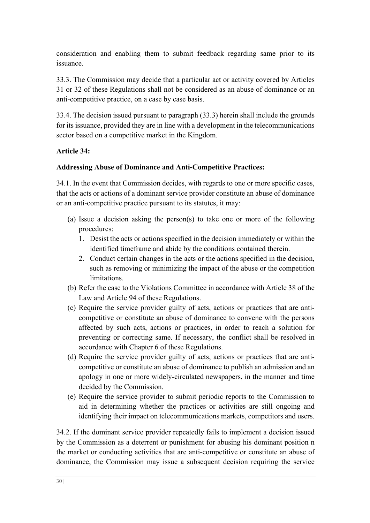consideration and enabling them to submit feedback regarding same prior to its issuance.

33.3. The Commission may decide that a particular act or activity covered by Articles 31 or 32 of these Regulations shall not be considered as an abuse of dominance or an anti-competitive practice, on a case by case basis.

33.4. The decision issued pursuant to paragraph (33.3) herein shall include the grounds for its issuance, provided they are in line with a development in the telecommunications sector based on a competitive market in the Kingdom.

# **Article 34:**

# **Addressing Abuse of Dominance and Anti-Competitive Practices:**

34.1. In the event that Commission decides, with regards to one or more specific cases, that the acts or actions of a dominant service provider constitute an abuse of dominance or an anti-competitive practice pursuant to its statutes, it may:

- (a) Issue a decision asking the person(s) to take one or more of the following procedures:
	- 1. Desist the acts or actions specified in the decision immediately or within the identified timeframe and abide by the conditions contained therein.
	- 2. Conduct certain changes in the acts or the actions specified in the decision, such as removing or minimizing the impact of the abuse or the competition limitations.
- (b) Refer the case to the Violations Committee in accordance with Article 38 of the Law and Article 94 of these Regulations.
- (c) Require the service provider guilty of acts, actions or practices that are anticompetitive or constitute an abuse of dominance to convene with the persons affected by such acts, actions or practices, in order to reach a solution for preventing or correcting same. If necessary, the conflict shall be resolved in accordance with Chapter 6 of these Regulations.
- (d) Require the service provider guilty of acts, actions or practices that are anticompetitive or constitute an abuse of dominance to publish an admission and an apology in one or more widely-circulated newspapers, in the manner and time decided by the Commission.
- (e) Require the service provider to submit periodic reports to the Commission to aid in determining whether the practices or activities are still ongoing and identifying their impact on telecommunications markets, competitors and users.

34.2. If the dominant service provider repeatedly fails to implement a decision issued by the Commission as a deterrent or punishment for abusing his dominant position n the market or conducting activities that are anti-competitive or constitute an abuse of dominance, the Commission may issue a subsequent decision requiring the service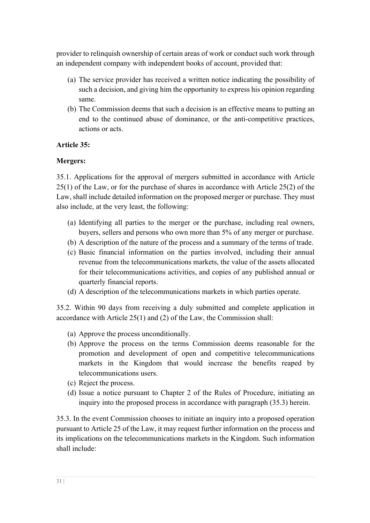provider to relinquish ownership of certain areas of work or conduct such work through an independent company with independent books of account, provided that:

- (a) The service provider has received a written notice indicating the possibility of such a decision, and giving him the opportunity to express his opinion regarding same.
- (b) The Commission deems that such a decision is an effective means to putting an end to the continued abuse of dominance, or the anti-competitive practices, actions or acts.

## **Article 35:**

## **Mergers:**

35.1. Applications for the approval of mergers submitted in accordance with Article 25(1) of the Law, or for the purchase of shares in accordance with Article 25(2) of the Law, shall include detailed information on the proposed merger or purchase. They must also include, at the very least, the following:

- (a) Identifying all parties to the merger or the purchase, including real owners, buyers, sellers and persons who own more than 5% of any merger or purchase.
- (b) A description of the nature of the process and a summary of the terms of trade.
- (c) Basic financial information on the parties involved, including their annual revenue from the telecommunications markets, the value of the assets allocated for their telecommunications activities, and copies of any published annual or quarterly financial reports.
- (d) A description of the telecommunications markets in which parties operate.

35.2. Within 90 days from receiving a duly submitted and complete application in accordance with Article 25(1) and (2) of the Law, the Commission shall:

- (a) Approve the process unconditionally.
- (b) Approve the process on the terms Commission deems reasonable for the promotion and development of open and competitive telecommunications markets in the Kingdom that would increase the benefits reaped by telecommunications users.
- (c) Reject the process.
- (d) Issue a notice pursuant to Chapter 2 of the Rules of Procedure, initiating an inquiry into the proposed process in accordance with paragraph (35.3) herein.

35.3. In the event Commission chooses to initiate an inquiry into a proposed operation pursuant to Article 25 of the Law, it may request further information on the process and its implications on the telecommunications markets in the Kingdom. Such information shall include: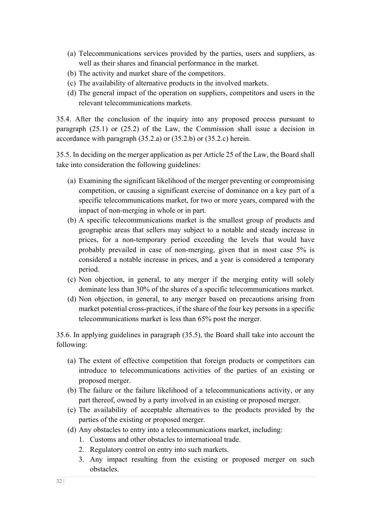- (a) Telecommunications services provided by the parties, users and suppliers, as well as their shares and financial performance in the market.
- (b) The activity and market share of the competitors.
- (c) The availability of alternative products in the involved markets.
- (d) The general impact of the operation on suppliers, competitors and users in the relevant telecommunications markets.

35.4. After the conclusion of the inquiry into any proposed process pursuant to paragraph (25.1) or (25.2) of the Law, the Commission shall issue a decision in accordance with paragraph (35.2.a) or (35.2.b) or (35.2.c) herein.

35.5. In deciding on the merger application as per Article 25 of the Law, the Board shall take into consideration the following guidelines:

- (a) Examining the significant likelihood of the merger preventing or compromising competition, or causing a significant exercise of dominance on a key part of a specific telecommunications market, for two or more years, compared with the impact of non-merging in whole or in part.
- (b) A specific telecommunications market is the smallest group of products and geographic areas that sellers may subject to a notable and steady increase in prices, for a non-temporary period exceeding the levels that would have probably prevailed in case of non-merging, given that in most case 5% is considered a notable increase in prices, and a year is considered a temporary period.
- (c) Non objection, in general, to any merger if the merging entity will solely dominate less than 30% of the shares of a specific telecommunications market.
- (d) Non objection, in general, to any merger based on precautions arising from market potential cross-practices, if the share of the four key persons in a specific telecommunications market is less than 65% post the merger.

35.6. In applying guidelines in paragraph (35.5), the Board shall take into account the following:

- (a) The extent of effective competition that foreign products or competitors can introduce to telecommunications activities of the parties of an existing or proposed merger.
- (b) The failure or the failure likelihood of a telecommunications activity, or any part thereof, owned by a party involved in an existing or proposed merger.
- (c) The availability of acceptable alternatives to the products provided by the parties of the existing or proposed merger.
- (d) Any obstacles to entry into a telecommunications market, including:
	- 1. Customs and other obstacles to international trade.
	- 2. Regulatory control on entry into such markets.
	- 3. Any impact resulting from the existing or proposed merger on such obstacles.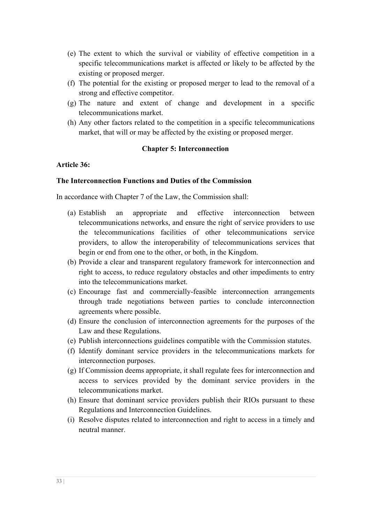- (e) The extent to which the survival or viability of effective competition in a specific telecommunications market is affected or likely to be affected by the existing or proposed merger.
- (f) The potential for the existing or proposed merger to lead to the removal of a strong and effective competitor.
- (g) The nature and extent of change and development in a specific telecommunications market.
- (h) Any other factors related to the competition in a specific telecommunications market, that will or may be affected by the existing or proposed merger.

#### **Chapter 5: Interconnection**

#### **Article 36:**

## **The Interconnection Functions and Duties of the Commission**

In accordance with Chapter 7 of the Law, the Commission shall:

- (a) Establish an appropriate and effective interconnection between telecommunications networks, and ensure the right of service providers to use the telecommunications facilities of other telecommunications service providers, to allow the interoperability of telecommunications services that begin or end from one to the other, or both, in the Kingdom.
- (b) Provide a clear and transparent regulatory framework for interconnection and right to access, to reduce regulatory obstacles and other impediments to entry into the telecommunications market.
- (c) Encourage fast and commercially-feasible interconnection arrangements through trade negotiations between parties to conclude interconnection agreements where possible.
- (d) Ensure the conclusion of interconnection agreements for the purposes of the Law and these Regulations.
- (e) Publish interconnections guidelines compatible with the Commission statutes.
- (f) Identify dominant service providers in the telecommunications markets for interconnection purposes.
- (g) If Commission deems appropriate, it shall regulate fees for interconnection and access to services provided by the dominant service providers in the telecommunications market.
- (h) Ensure that dominant service providers publish their RIOs pursuant to these Regulations and Interconnection Guidelines.
- (i) Resolve disputes related to interconnection and right to access in a timely and neutral manner.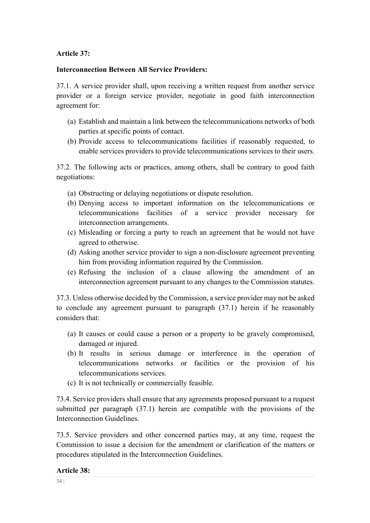# **Article 37:**

## **Interconnection Between All Service Providers:**

37.1. A service provider shall, upon receiving a written request from another service provider or a foreign service provider, negotiate in good faith interconnection agreement for:

- (a) Establish and maintain a link between the telecommunications networks of both parties at specific points of contact.
- (b) Provide access to telecommunications facilities if reasonably requested, to enable services providers to provide telecommunications services to their users.

37.2. The following acts or practices, among others, shall be contrary to good faith negotiations:

- (a) Obstructing or delaying negotiations or dispute resolution.
- (b) Denying access to important information on the telecommunications or telecommunications facilities of a service provider necessary for interconnection arrangements.
- (c) Misleading or forcing a party to reach an agreement that he would not have agreed to otherwise.
- (d) Asking another service provider to sign a non-disclosure agreement preventing him from providing information required by the Commission.
- (e) Refusing the inclusion of a clause allowing the amendment of an interconnection agreement pursuant to any changes to the Commission statutes.

37.3. Unless otherwise decided by the Commission, a service provider may not be asked to conclude any agreement pursuant to paragraph (37.1) herein if he reasonably considers that:

- (a) It causes or could cause a person or a property to be gravely compromised, damaged or injured.
- (b) It results in serious damage or interference in the operation of telecommunications networks or facilities or the provision of his telecommunications services.
- (c) It is not technically or commercially feasible.

73.4. Service providers shall ensure that any agreements proposed pursuant to a request submitted per paragraph (37.1) herein are compatible with the provisions of the Interconnection Guidelines.

73.5. Service providers and other concerned parties may, at any time, request the Commission to issue a decision for the amendment or clarification of the matters or procedures stipulated in the Interconnection Guidelines.

## **Article 38:**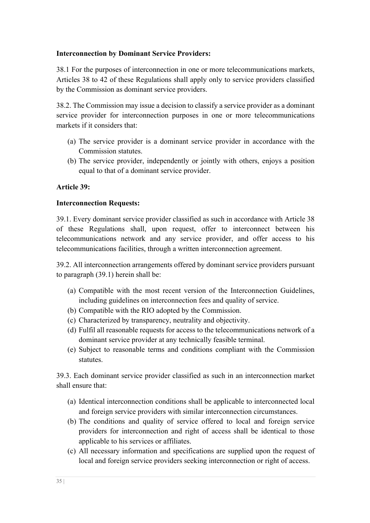# **Interconnection by Dominant Service Providers:**

38.1 For the purposes of interconnection in one or more telecommunications markets, Articles 38 to 42 of these Regulations shall apply only to service providers classified by the Commission as dominant service providers.

38.2. The Commission may issue a decision to classify a service provider as a dominant service provider for interconnection purposes in one or more telecommunications markets if it considers that:

- (a) The service provider is a dominant service provider in accordance with the Commission statutes.
- (b) The service provider, independently or jointly with others, enjoys a position equal to that of a dominant service provider.

## **Article 39:**

## **Interconnection Requests:**

39.1. Every dominant service provider classified as such in accordance with Article 38 of these Regulations shall, upon request, offer to interconnect between his telecommunications network and any service provider, and offer access to his telecommunications facilities, through a written interconnection agreement.

39.2. All interconnection arrangements offered by dominant service providers pursuant to paragraph (39.1) herein shall be:

- (a) Compatible with the most recent version of the Interconnection Guidelines, including guidelines on interconnection fees and quality of service.
- (b) Compatible with the RIO adopted by the Commission.
- (c) Characterized by transparency, neutrality and objectivity.
- (d) Fulfil all reasonable requests for access to the telecommunications network of a dominant service provider at any technically feasible terminal.
- (e) Subject to reasonable terms and conditions compliant with the Commission statutes.

39.3. Each dominant service provider classified as such in an interconnection market shall ensure that:

- (a) Identical interconnection conditions shall be applicable to interconnected local and foreign service providers with similar interconnection circumstances.
- (b) The conditions and quality of service offered to local and foreign service providers for interconnection and right of access shall be identical to those applicable to his services or affiliates.
- (c) All necessary information and specifications are supplied upon the request of local and foreign service providers seeking interconnection or right of access.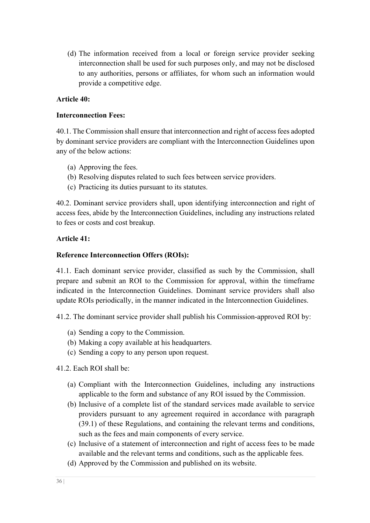(d) The information received from a local or foreign service provider seeking interconnection shall be used for such purposes only, and may not be disclosed to any authorities, persons or affiliates, for whom such an information would provide a competitive edge.

## **Article 40:**

## **Interconnection Fees:**

40.1. The Commission shall ensure that interconnection and right of access fees adopted by dominant service providers are compliant with the Interconnection Guidelines upon any of the below actions:

- (a) Approving the fees.
- (b) Resolving disputes related to such fees between service providers.
- (c) Practicing its duties pursuant to its statutes.

40.2. Dominant service providers shall, upon identifying interconnection and right of access fees, abide by the Interconnection Guidelines, including any instructions related to fees or costs and cost breakup.

## **Article 41:**

## **Reference Interconnection Offers (ROIs):**

41.1. Each dominant service provider, classified as such by the Commission, shall prepare and submit an ROI to the Commission for approval, within the timeframe indicated in the Interconnection Guidelines. Dominant service providers shall also update ROIs periodically, in the manner indicated in the Interconnection Guidelines.

41.2. The dominant service provider shall publish his Commission-approved ROI by:

- (a) Sending a copy to the Commission.
- (b) Making a copy available at his headquarters.
- (c) Sending a copy to any person upon request.

41.2. Each ROI shall be:

- (a) Compliant with the Interconnection Guidelines, including any instructions applicable to the form and substance of any ROI issued by the Commission.
- (b) Inclusive of a complete list of the standard services made available to service providers pursuant to any agreement required in accordance with paragraph (39.1) of these Regulations, and containing the relevant terms and conditions, such as the fees and main components of every service.
- (c) Inclusive of a statement of interconnection and right of access fees to be made available and the relevant terms and conditions, such as the applicable fees.
- (d) Approved by the Commission and published on its website.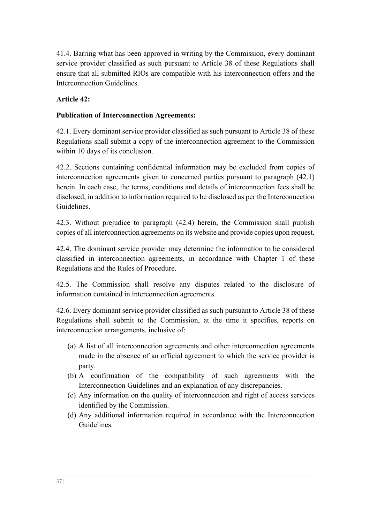41.4. Barring what has been approved in writing by the Commission, every dominant service provider classified as such pursuant to Article 38 of these Regulations shall ensure that all submitted RIOs are compatible with his interconnection offers and the Interconnection Guidelines.

# **Article 42:**

## **Publication of Interconnection Agreements:**

42.1. Every dominant service provider classified as such pursuant to Article 38 of these Regulations shall submit a copy of the interconnection agreement to the Commission within 10 days of its conclusion.

42.2. Sections containing confidential information may be excluded from copies of interconnection agreements given to concerned parties pursuant to paragraph (42.1) herein. In each case, the terms, conditions and details of interconnection fees shall be disclosed, in addition to information required to be disclosed as per the Interconnection Guidelines.

42.3. Without prejudice to paragraph (42.4) herein, the Commission shall publish copies of all interconnection agreements on its website and provide copies upon request.

42.4. The dominant service provider may determine the information to be considered classified in interconnection agreements, in accordance with Chapter 1 of these Regulations and the Rules of Procedure.

42.5. The Commission shall resolve any disputes related to the disclosure of information contained in interconnection agreements.

42.6. Every dominant service provider classified as such pursuant to Article 38 of these Regulations shall submit to the Commission, at the time it specifies, reports on interconnection arrangements, inclusive of:

- (a) A list of all interconnection agreements and other interconnection agreements made in the absence of an official agreement to which the service provider is party.
- (b) A confirmation of the compatibility of such agreements with the Interconnection Guidelines and an explanation of any discrepancies.
- (c) Any information on the quality of interconnection and right of access services identified by the Commission.
- (d) Any additional information required in accordance with the Interconnection Guidelines.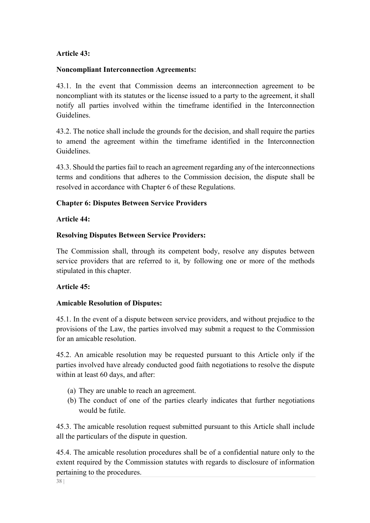## **Article 43:**

#### **Noncompliant Interconnection Agreements:**

43.1. In the event that Commission deems an interconnection agreement to be noncompliant with its statutes or the license issued to a party to the agreement, it shall notify all parties involved within the timeframe identified in the Interconnection Guidelines.

43.2. The notice shall include the grounds for the decision, and shall require the parties to amend the agreement within the timeframe identified in the Interconnection Guidelines.

43.3. Should the parties fail to reach an agreement regarding any of the interconnections terms and conditions that adheres to the Commission decision, the dispute shall be resolved in accordance with Chapter 6 of these Regulations.

## **Chapter 6: Disputes Between Service Providers**

#### **Article 44:**

## **Resolving Disputes Between Service Providers:**

The Commission shall, through its competent body, resolve any disputes between service providers that are referred to it, by following one or more of the methods stipulated in this chapter.

## **Article 45:**

## **Amicable Resolution of Disputes:**

45.1. In the event of a dispute between service providers, and without prejudice to the provisions of the Law, the parties involved may submit a request to the Commission for an amicable resolution.

45.2. An amicable resolution may be requested pursuant to this Article only if the parties involved have already conducted good faith negotiations to resolve the dispute within at least 60 days, and after:

- (a) They are unable to reach an agreement.
- (b) The conduct of one of the parties clearly indicates that further negotiations would be futile.

45.3. The amicable resolution request submitted pursuant to this Article shall include all the particulars of the dispute in question.

45.4. The amicable resolution procedures shall be of a confidential nature only to the extent required by the Commission statutes with regards to disclosure of information pertaining to the procedures.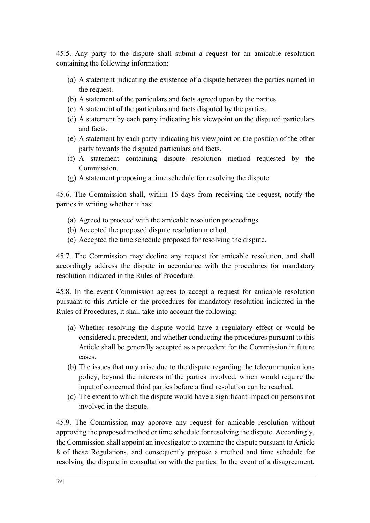45.5. Any party to the dispute shall submit a request for an amicable resolution containing the following information:

- (a) A statement indicating the existence of a dispute between the parties named in the request.
- (b) A statement of the particulars and facts agreed upon by the parties.
- (c) A statement of the particulars and facts disputed by the parties.
- (d) A statement by each party indicating his viewpoint on the disputed particulars and facts.
- (e) A statement by each party indicating his viewpoint on the position of the other party towards the disputed particulars and facts.
- (f) A statement containing dispute resolution method requested by the Commission.
- (g) A statement proposing a time schedule for resolving the dispute.

45.6. The Commission shall, within 15 days from receiving the request, notify the parties in writing whether it has:

- (a) Agreed to proceed with the amicable resolution proceedings.
- (b) Accepted the proposed dispute resolution method.
- (c) Accepted the time schedule proposed for resolving the dispute.

45.7. The Commission may decline any request for amicable resolution, and shall accordingly address the dispute in accordance with the procedures for mandatory resolution indicated in the Rules of Procedure.

45.8. In the event Commission agrees to accept a request for amicable resolution pursuant to this Article or the procedures for mandatory resolution indicated in the Rules of Procedures, it shall take into account the following:

- (a) Whether resolving the dispute would have a regulatory effect or would be considered a precedent, and whether conducting the procedures pursuant to this Article shall be generally accepted as a precedent for the Commission in future cases.
- (b) The issues that may arise due to the dispute regarding the telecommunications policy, beyond the interests of the parties involved, which would require the input of concerned third parties before a final resolution can be reached.
- (c) The extent to which the dispute would have a significant impact on persons not involved in the dispute.

45.9. The Commission may approve any request for amicable resolution without approving the proposed method or time schedule for resolving the dispute. Accordingly, the Commission shall appoint an investigator to examine the dispute pursuant to Article 8 of these Regulations, and consequently propose a method and time schedule for resolving the dispute in consultation with the parties. In the event of a disagreement,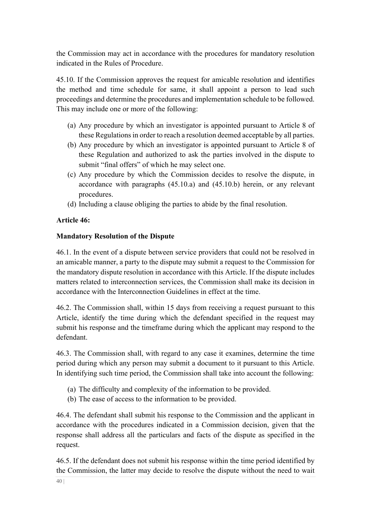the Commission may act in accordance with the procedures for mandatory resolution indicated in the Rules of Procedure.

45.10. If the Commission approves the request for amicable resolution and identifies the method and time schedule for same, it shall appoint a person to lead such proceedings and determine the procedures and implementation schedule to be followed. This may include one or more of the following:

- (a) Any procedure by which an investigator is appointed pursuant to Article 8 of these Regulations in order to reach a resolution deemed acceptable by all parties.
- (b) Any procedure by which an investigator is appointed pursuant to Article 8 of these Regulation and authorized to ask the parties involved in the dispute to submit "final offers" of which he may select one.
- (c) Any procedure by which the Commission decides to resolve the dispute, in accordance with paragraphs (45.10.a) and (45.10.b) herein, or any relevant procedures.
- (d) Including a clause obliging the parties to abide by the final resolution.

#### **Article 46:**

#### **Mandatory Resolution of the Dispute**

46.1. In the event of a dispute between service providers that could not be resolved in an amicable manner, a party to the dispute may submit a request to the Commission for the mandatory dispute resolution in accordance with this Article. If the dispute includes matters related to interconnection services, the Commission shall make its decision in accordance with the Interconnection Guidelines in effect at the time.

46.2. The Commission shall, within 15 days from receiving a request pursuant to this Article, identify the time during which the defendant specified in the request may submit his response and the timeframe during which the applicant may respond to the defendant.

46.3. The Commission shall, with regard to any case it examines, determine the time period during which any person may submit a document to it pursuant to this Article. In identifying such time period, the Commission shall take into account the following:

- (a) The difficulty and complexity of the information to be provided.
- (b) The ease of access to the information to be provided.

46.4. The defendant shall submit his response to the Commission and the applicant in accordance with the procedures indicated in a Commission decision, given that the response shall address all the particulars and facts of the dispute as specified in the request.

46.5. If the defendant does not submit his response within the time period identified by the Commission, the latter may decide to resolve the dispute without the need to wait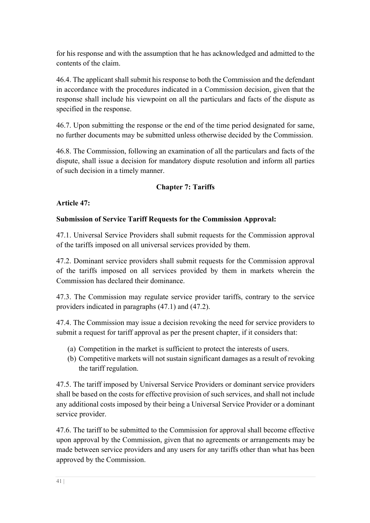for his response and with the assumption that he has acknowledged and admitted to the contents of the claim.

46.4. The applicant shall submit his response to both the Commission and the defendant in accordance with the procedures indicated in a Commission decision, given that the response shall include his viewpoint on all the particulars and facts of the dispute as specified in the response.

46.7. Upon submitting the response or the end of the time period designated for same, no further documents may be submitted unless otherwise decided by the Commission.

46.8. The Commission, following an examination of all the particulars and facts of the dispute, shall issue a decision for mandatory dispute resolution and inform all parties of such decision in a timely manner.

# **Chapter 7: Tariffs**

**Article 47:** 

# **Submission of Service Tariff Requests for the Commission Approval:**

47.1. Universal Service Providers shall submit requests for the Commission approval of the tariffs imposed on all universal services provided by them.

47.2. Dominant service providers shall submit requests for the Commission approval of the tariffs imposed on all services provided by them in markets wherein the Commission has declared their dominance.

47.3. The Commission may regulate service provider tariffs, contrary to the service providers indicated in paragraphs (47.1) and (47.2).

47.4. The Commission may issue a decision revoking the need for service providers to submit a request for tariff approval as per the present chapter, if it considers that:

- (a) Competition in the market is sufficient to protect the interests of users.
- (b) Competitive markets will not sustain significant damages as a result of revoking the tariff regulation.

47.5. The tariff imposed by Universal Service Providers or dominant service providers shall be based on the costs for effective provision of such services, and shall not include any additional costs imposed by their being a Universal Service Provider or a dominant service provider.

47.6. The tariff to be submitted to the Commission for approval shall become effective upon approval by the Commission, given that no agreements or arrangements may be made between service providers and any users for any tariffs other than what has been approved by the Commission.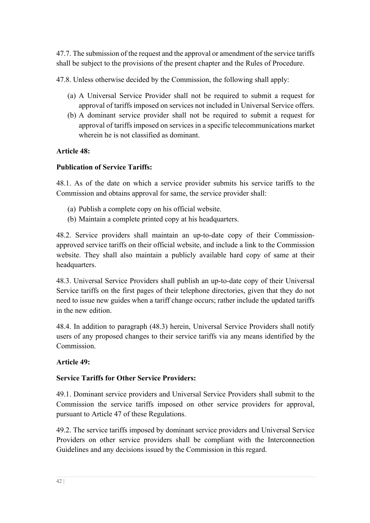47.7. The submission of the request and the approval or amendment of the service tariffs shall be subject to the provisions of the present chapter and the Rules of Procedure.

47.8. Unless otherwise decided by the Commission, the following shall apply:

- (a) A Universal Service Provider shall not be required to submit a request for approval of tariffs imposed on services not included in Universal Service offers.
- (b) A dominant service provider shall not be required to submit a request for approval of tariffs imposed on services in a specific telecommunications market wherein he is not classified as dominant.

# **Article 48:**

# **Publication of Service Tariffs:**

48.1. As of the date on which a service provider submits his service tariffs to the Commission and obtains approval for same, the service provider shall:

- (a) Publish a complete copy on his official website.
- (b) Maintain a complete printed copy at his headquarters.

48.2. Service providers shall maintain an up-to-date copy of their Commissionapproved service tariffs on their official website, and include a link to the Commission website. They shall also maintain a publicly available hard copy of same at their headquarters.

48.3. Universal Service Providers shall publish an up-to-date copy of their Universal Service tariffs on the first pages of their telephone directories, given that they do not need to issue new guides when a tariff change occurs; rather include the updated tariffs in the new edition.

48.4. In addition to paragraph (48.3) herein, Universal Service Providers shall notify users of any proposed changes to their service tariffs via any means identified by the Commission.

## **Article 49:**

# **Service Tariffs for Other Service Providers:**

49.1. Dominant service providers and Universal Service Providers shall submit to the Commission the service tariffs imposed on other service providers for approval, pursuant to Article 47 of these Regulations.

49.2. The service tariffs imposed by dominant service providers and Universal Service Providers on other service providers shall be compliant with the Interconnection Guidelines and any decisions issued by the Commission in this regard.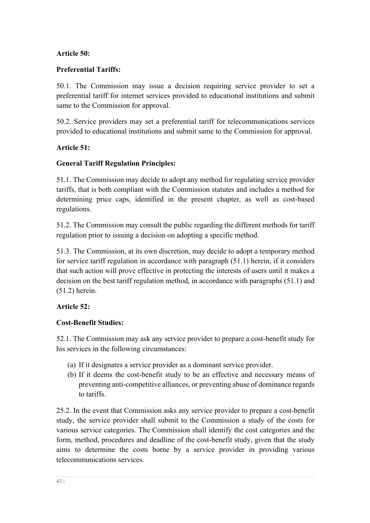## **Article 50:**

# **Preferential Tariffs:**

50.1. The Commission may issue a decision requiring service provider to set a preferential tariff for internet services provided to educational institutions and submit same to the Commission for approval.

50.2. Service providers may set a preferential tariff for telecommunications services provided to educational institutions and submit same to the Commission for approval.

# **Article 51:**

# **General Tariff Regulation Principles:**

51.1. The Commission may decide to adopt any method for regulating service provider tariffs, that is both compliant with the Commission statutes and includes a method for determining price caps, identified in the present chapter, as well as cost-based regulations.

51.2. The Commission may consult the public regarding the different methods for tariff regulation prior to issuing a decision on adopting a specific method.

51.3. The Commission, at its own discretion, may decide to adopt a temporary method for service tariff regulation in accordance with paragraph (51.1) herein, if it considers that such action will prove effective in protecting the interests of users until it makes a decision on the best tariff regulation method, in accordance with paragraphs (51.1) and (51.2) herein.

## **Article 52:**

## **Cost-Benefit Studies:**

52.1. The Commission may ask any service provider to prepare a cost-benefit study for his services in the following circumstances:

- (a) If it designates a service provider as a dominant service provider.
- (b) If it deems the cost-benefit study to be an effective and necessary means of preventing anti-competitive alliances, or preventing abuse of dominance regards to tariffs.

25.2. In the event that Commission asks any service provider to prepare a cost-benefit study, the service provider shall submit to the Commission a study of the costs for various service categories. The Commission shall identify the cost categories and the form, method, procedures and deadline of the cost-benefit study, given that the study aims to determine the costs borne by a service provider in providing various telecommunications services.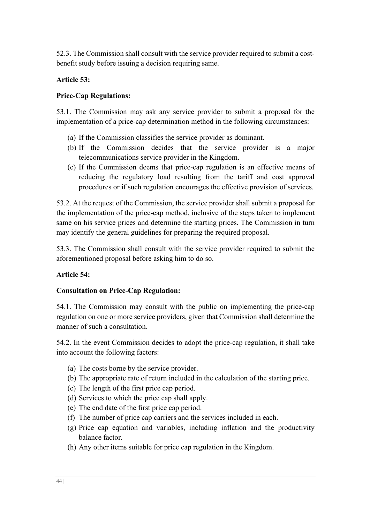52.3. The Commission shall consult with the service provider required to submit a costbenefit study before issuing a decision requiring same.

## **Article 53:**

## **Price-Cap Regulations:**

53.1. The Commission may ask any service provider to submit a proposal for the implementation of a price-cap determination method in the following circumstances:

- (a) If the Commission classifies the service provider as dominant.
- (b) If the Commission decides that the service provider is a major telecommunications service provider in the Kingdom.
- (c) If the Commission deems that price-cap regulation is an effective means of reducing the regulatory load resulting from the tariff and cost approval procedures or if such regulation encourages the effective provision of services.

53.2. At the request of the Commission, the service provider shall submit a proposal for the implementation of the price-cap method, inclusive of the steps taken to implement same on his service prices and determine the starting prices. The Commission in turn may identify the general guidelines for preparing the required proposal.

53.3. The Commission shall consult with the service provider required to submit the aforementioned proposal before asking him to do so.

## **Article 54:**

## **Consultation on Price-Cap Regulation:**

54.1. The Commission may consult with the public on implementing the price-cap regulation on one or more service providers, given that Commission shall determine the manner of such a consultation.

54.2. In the event Commission decides to adopt the price-cap regulation, it shall take into account the following factors:

- (a) The costs borne by the service provider.
- (b) The appropriate rate of return included in the calculation of the starting price.
- (c) The length of the first price cap period.
- (d) Services to which the price cap shall apply.
- (e) The end date of the first price cap period.
- (f) The number of price cap carriers and the services included in each.
- (g) Price cap equation and variables, including inflation and the productivity balance factor.
- (h) Any other items suitable for price cap regulation in the Kingdom.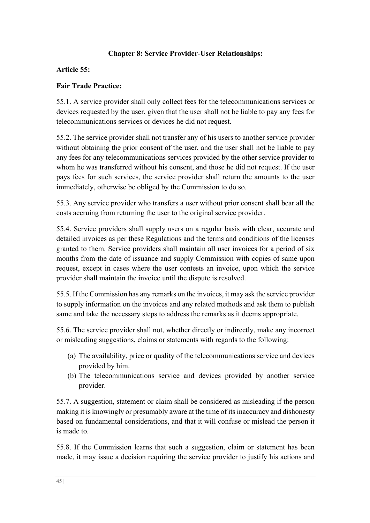# **Chapter 8: Service Provider-User Relationships:**

#### **Article 55:**

#### **Fair Trade Practice:**

55.1. A service provider shall only collect fees for the telecommunications services or devices requested by the user, given that the user shall not be liable to pay any fees for telecommunications services or devices he did not request.

55.2. The service provider shall not transfer any of his users to another service provider without obtaining the prior consent of the user, and the user shall not be liable to pay any fees for any telecommunications services provided by the other service provider to whom he was transferred without his consent, and those he did not request. If the user pays fees for such services, the service provider shall return the amounts to the user immediately, otherwise be obliged by the Commission to do so.

55.3. Any service provider who transfers a user without prior consent shall bear all the costs accruing from returning the user to the original service provider.

55.4. Service providers shall supply users on a regular basis with clear, accurate and detailed invoices as per these Regulations and the terms and conditions of the licenses granted to them. Service providers shall maintain all user invoices for a period of six months from the date of issuance and supply Commission with copies of same upon request, except in cases where the user contests an invoice, upon which the service provider shall maintain the invoice until the dispute is resolved.

55.5. If the Commission has any remarks on the invoices, it may ask the service provider to supply information on the invoices and any related methods and ask them to publish same and take the necessary steps to address the remarks as it deems appropriate.

55.6. The service provider shall not, whether directly or indirectly, make any incorrect or misleading suggestions, claims or statements with regards to the following:

- (a) The availability, price or quality of the telecommunications service and devices provided by him.
- (b) The telecommunications service and devices provided by another service provider.

55.7. A suggestion, statement or claim shall be considered as misleading if the person making it is knowingly or presumably aware at the time of its inaccuracy and dishonesty based on fundamental considerations, and that it will confuse or mislead the person it is made to.

55.8. If the Commission learns that such a suggestion, claim or statement has been made, it may issue a decision requiring the service provider to justify his actions and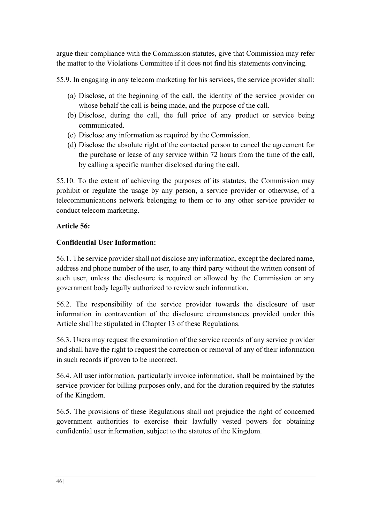argue their compliance with the Commission statutes, give that Commission may refer the matter to the Violations Committee if it does not find his statements convincing.

55.9. In engaging in any telecom marketing for his services, the service provider shall:

- (a) Disclose, at the beginning of the call, the identity of the service provider on whose behalf the call is being made, and the purpose of the call.
- (b) Disclose, during the call, the full price of any product or service being communicated.
- (c) Disclose any information as required by the Commission.
- (d) Disclose the absolute right of the contacted person to cancel the agreement for the purchase or lease of any service within 72 hours from the time of the call, by calling a specific number disclosed during the call.

55.10. To the extent of achieving the purposes of its statutes, the Commission may prohibit or regulate the usage by any person, a service provider or otherwise, of a telecommunications network belonging to them or to any other service provider to conduct telecom marketing.

# **Article 56:**

# **Confidential User Information:**

56.1. The service provider shall not disclose any information, except the declared name, address and phone number of the user, to any third party without the written consent of such user, unless the disclosure is required or allowed by the Commission or any government body legally authorized to review such information.

56.2. The responsibility of the service provider towards the disclosure of user information in contravention of the disclosure circumstances provided under this Article shall be stipulated in Chapter 13 of these Regulations.

56.3. Users may request the examination of the service records of any service provider and shall have the right to request the correction or removal of any of their information in such records if proven to be incorrect.

56.4. All user information, particularly invoice information, shall be maintained by the service provider for billing purposes only, and for the duration required by the statutes of the Kingdom.

56.5. The provisions of these Regulations shall not prejudice the right of concerned government authorities to exercise their lawfully vested powers for obtaining confidential user information, subject to the statutes of the Kingdom.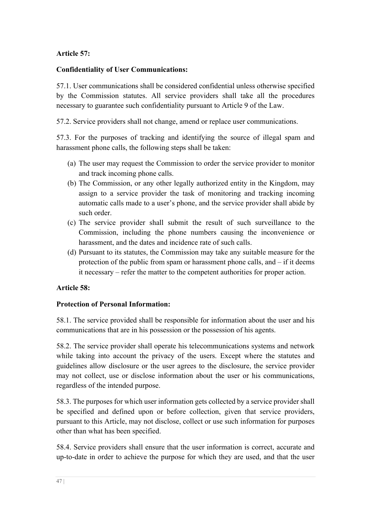# **Article 57:**

## **Confidentiality of User Communications:**

57.1. User communications shall be considered confidential unless otherwise specified by the Commission statutes. All service providers shall take all the procedures necessary to guarantee such confidentiality pursuant to Article 9 of the Law.

57.2. Service providers shall not change, amend or replace user communications.

57.3. For the purposes of tracking and identifying the source of illegal spam and harassment phone calls, the following steps shall be taken:

- (a) The user may request the Commission to order the service provider to monitor and track incoming phone calls.
- (b) The Commission, or any other legally authorized entity in the Kingdom, may assign to a service provider the task of monitoring and tracking incoming automatic calls made to a user's phone, and the service provider shall abide by such order.
- (c) The service provider shall submit the result of such surveillance to the Commission, including the phone numbers causing the inconvenience or harassment, and the dates and incidence rate of such calls.
- (d) Pursuant to its statutes, the Commission may take any suitable measure for the protection of the public from spam or harassment phone calls, and – if it deems it necessary – refer the matter to the competent authorities for proper action.

# **Article 58:**

## **Protection of Personal Information:**

58.1. The service provided shall be responsible for information about the user and his communications that are in his possession or the possession of his agents.

58.2. The service provider shall operate his telecommunications systems and network while taking into account the privacy of the users. Except where the statutes and guidelines allow disclosure or the user agrees to the disclosure, the service provider may not collect, use or disclose information about the user or his communications, regardless of the intended purpose.

58.3. The purposes for which user information gets collected by a service provider shall be specified and defined upon or before collection, given that service providers, pursuant to this Article, may not disclose, collect or use such information for purposes other than what has been specified.

58.4. Service providers shall ensure that the user information is correct, accurate and up-to-date in order to achieve the purpose for which they are used, and that the user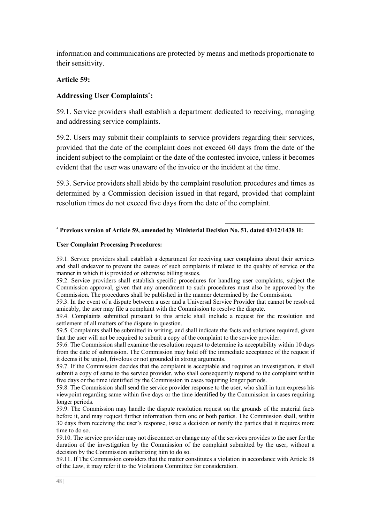information and communications are protected by means and methods proportionate to their sensitivity.

#### **Article 59:**

#### **Addressing User Complaints\* :**

59.1. Service providers shall establish a department dedicated to receiving, managing and addressing service complaints.

59.2. Users may submit their complaints to service providers regarding their services, provided that the date of the complaint does not exceed 60 days from the date of the incident subject to the complaint or the date of the contested invoice, unless it becomes evident that the user was unaware of the invoice or the incident at the time.

59.3. Service providers shall abide by the complaint resolution procedures and times as determined by a Commission decision issued in that regard, provided that complaint resolution times do not exceed five days from the date of the complaint.

#### \* **Previous version of Article 59, amended by Ministerial Decision No. 51, dated 03/12/1438 H:**

#### **User Complaint Processing Procedures:**

59.1. Service providers shall establish a department for receiving user complaints about their services and shall endeavor to prevent the causes of such complaints if related to the quality of service or the manner in which it is provided or otherwise billing issues.

59.2. Service providers shall establish specific procedures for handling user complaints, subject the Commission approval, given that any amendment to such procedures must also be approved by the Commission. The procedures shall be published in the manner determined by the Commission.

59.3. In the event of a dispute between a user and a Universal Service Provider that cannot be resolved amicably, the user may file a complaint with the Commission to resolve the dispute.

59.4. Complaints submitted pursuant to this article shall include a request for the resolution and settlement of all matters of the dispute in question.

59.5. Complaints shall be submitted in writing, and shall indicate the facts and solutions required, given that the user will not be required to submit a copy of the complaint to the service provider.

59.6. The Commission shall examine the resolution request to determine its acceptability within 10 days from the date of submission. The Commission may hold off the immediate acceptance of the request if it deems it be unjust, frivolous or not grounded in strong arguments.

59.7. If the Commission decides that the complaint is acceptable and requires an investigation, it shall submit a copy of same to the service provider, who shall consequently respond to the complaint within five days or the time identified by the Commission in cases requiring longer periods.

59.8. The Commission shall send the service provider response to the user, who shall in turn express his viewpoint regarding same within five days or the time identified by the Commission in cases requiring longer periods.

59.9. The Commission may handle the dispute resolution request on the grounds of the material facts before it, and may request further information from one or both parties. The Commission shall, within 30 days from receiving the user's response, issue a decision or notify the parties that it requires more time to do so.

59.10. The service provider may not disconnect or change any of the services provides to the user for the duration of the investigation by the Commission of the complaint submitted by the user, without a decision by the Commission authorizing him to do so.

59.11. If The Commission considers that the matter constitutes a violation in accordance with Article 38 of the Law, it may refer it to the Violations Committee for consideration.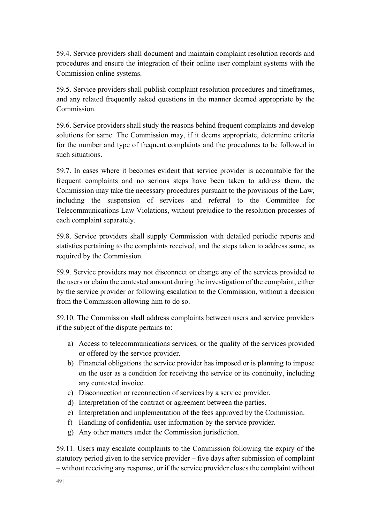59.4. Service providers shall document and maintain complaint resolution records and procedures and ensure the integration of their online user complaint systems with the Commission online systems.

59.5. Service providers shall publish complaint resolution procedures and timeframes, and any related frequently asked questions in the manner deemed appropriate by the Commission.

59.6. Service providers shall study the reasons behind frequent complaints and develop solutions for same. The Commission may, if it deems appropriate, determine criteria for the number and type of frequent complaints and the procedures to be followed in such situations.

59.7. In cases where it becomes evident that service provider is accountable for the frequent complaints and no serious steps have been taken to address them, the Commission may take the necessary procedures pursuant to the provisions of the Law, including the suspension of services and referral to the Committee for Telecommunications Law Violations, without prejudice to the resolution processes of each complaint separately.

59.8. Service providers shall supply Commission with detailed periodic reports and statistics pertaining to the complaints received, and the steps taken to address same, as required by the Commission.

59.9. Service providers may not disconnect or change any of the services provided to the users or claim the contested amount during the investigation of the complaint, either by the service provider or following escalation to the Commission, without a decision from the Commission allowing him to do so.

59.10. The Commission shall address complaints between users and service providers if the subject of the dispute pertains to:

- a) Access to telecommunications services, or the quality of the services provided or offered by the service provider.
- b) Financial obligations the service provider has imposed or is planning to impose on the user as a condition for receiving the service or its continuity, including any contested invoice.
- c) Disconnection or reconnection of services by a service provider.
- d) Interpretation of the contract or agreement between the parties.
- e) Interpretation and implementation of the fees approved by the Commission.
- f) Handling of confidential user information by the service provider.
- g) Any other matters under the Commission jurisdiction.

59.11. Users may escalate complaints to the Commission following the expiry of the statutory period given to the service provider – five days after submission of complaint – without receiving any response, or if the service provider closes the complaint without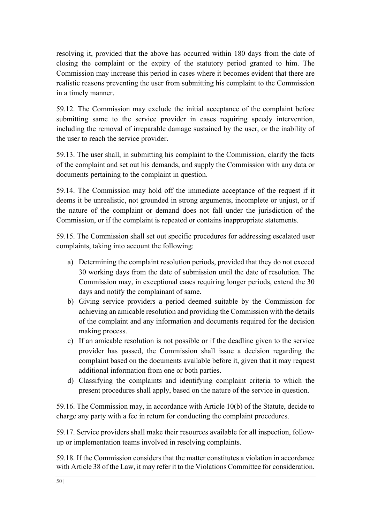resolving it, provided that the above has occurred within 180 days from the date of closing the complaint or the expiry of the statutory period granted to him. The Commission may increase this period in cases where it becomes evident that there are realistic reasons preventing the user from submitting his complaint to the Commission in a timely manner.

59.12. The Commission may exclude the initial acceptance of the complaint before submitting same to the service provider in cases requiring speedy intervention, including the removal of irreparable damage sustained by the user, or the inability of the user to reach the service provider.

59.13. The user shall, in submitting his complaint to the Commission, clarify the facts of the complaint and set out his demands, and supply the Commission with any data or documents pertaining to the complaint in question.

59.14. The Commission may hold off the immediate acceptance of the request if it deems it be unrealistic, not grounded in strong arguments, incomplete or unjust, or if the nature of the complaint or demand does not fall under the jurisdiction of the Commission, or if the complaint is repeated or contains inappropriate statements.

59.15. The Commission shall set out specific procedures for addressing escalated user complaints, taking into account the following:

- a) Determining the complaint resolution periods, provided that they do not exceed 30 working days from the date of submission until the date of resolution. The Commission may, in exceptional cases requiring longer periods, extend the 30 days and notify the complainant of same.
- b) Giving service providers a period deemed suitable by the Commission for achieving an amicable resolution and providing the Commission with the details of the complaint and any information and documents required for the decision making process.
- c) If an amicable resolution is not possible or if the deadline given to the service provider has passed, the Commission shall issue a decision regarding the complaint based on the documents available before it, given that it may request additional information from one or both parties.
- d) Classifying the complaints and identifying complaint criteria to which the present procedures shall apply, based on the nature of the service in question.

59.16. The Commission may, in accordance with Article 10(b) of the Statute, decide to charge any party with a fee in return for conducting the complaint procedures.

59.17. Service providers shall make their resources available for all inspection, followup or implementation teams involved in resolving complaints.

59.18. If the Commission considers that the matter constitutes a violation in accordance with Article 38 of the Law, it may refer it to the Violations Committee for consideration.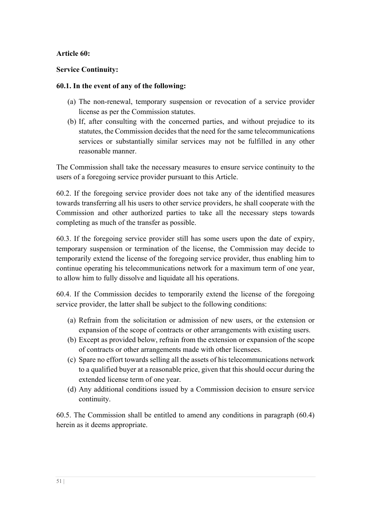#### **Article 60:**

#### **Service Continuity:**

#### **60.1. In the event of any of the following:**

- (a) The non-renewal, temporary suspension or revocation of a service provider license as per the Commission statutes.
- (b) If, after consulting with the concerned parties, and without prejudice to its statutes, the Commission decides that the need for the same telecommunications services or substantially similar services may not be fulfilled in any other reasonable manner.

The Commission shall take the necessary measures to ensure service continuity to the users of a foregoing service provider pursuant to this Article.

60.2. If the foregoing service provider does not take any of the identified measures towards transferring all his users to other service providers, he shall cooperate with the Commission and other authorized parties to take all the necessary steps towards completing as much of the transfer as possible.

60.3. If the foregoing service provider still has some users upon the date of expiry, temporary suspension or termination of the license, the Commission may decide to temporarily extend the license of the foregoing service provider, thus enabling him to continue operating his telecommunications network for a maximum term of one year, to allow him to fully dissolve and liquidate all his operations.

60.4. If the Commission decides to temporarily extend the license of the foregoing service provider, the latter shall be subject to the following conditions:

- (a) Refrain from the solicitation or admission of new users, or the extension or expansion of the scope of contracts or other arrangements with existing users.
- (b) Except as provided below, refrain from the extension or expansion of the scope of contracts or other arrangements made with other licensees.
- (c) Spare no effort towards selling all the assets of his telecommunications network to a qualified buyer at a reasonable price, given that this should occur during the extended license term of one year.
- (d) Any additional conditions issued by a Commission decision to ensure service continuity.

60.5. The Commission shall be entitled to amend any conditions in paragraph (60.4) herein as it deems appropriate.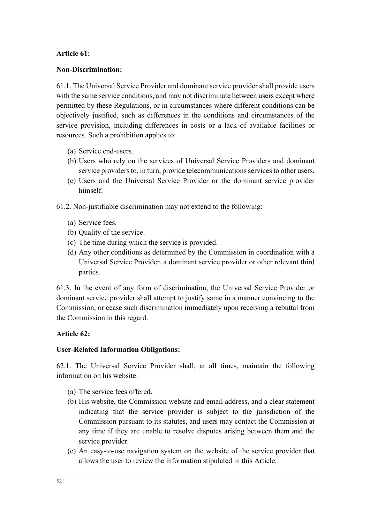## **Article 61:**

#### **Non-Discrimination:**

61.1. The Universal Service Provider and dominant service provider shall provide users with the same service conditions, and may not discriminate between users except where permitted by these Regulations, or in circumstances where different conditions can be objectively justified, such as differences in the conditions and circumstances of the service provision, including differences in costs or a lack of available facilities or resources. Such a prohibition applies to:

- (a) Service end-users.
- (b) Users who rely on the services of Universal Service Providers and dominant service providers to, in turn, provide telecommunications services to other users.
- (c) Users and the Universal Service Provider or the dominant service provider himself.
- 61.2. Non-justifiable discrimination may not extend to the following:
	- (a) Service fees.
	- (b) Quality of the service.
	- (c) The time during which the service is provided.
	- (d) Any other conditions as determined by the Commission in coordination with a Universal Service Provider, a dominant service provider or other relevant third parties.

61.3. In the event of any form of discrimination, the Universal Service Provider or dominant service provider shall attempt to justify same in a manner convincing to the Commission, or cease such discrimination immediately upon receiving a rebuttal from the Commission in this regard.

## **Article 62:**

#### **User-Related Information Obligations:**

62.1. The Universal Service Provider shall, at all times, maintain the following information on his website:

- (a) The service fees offered.
- (b) His website, the Commission website and email address, and a clear statement indicating that the service provider is subject to the jurisdiction of the Commission pursuant to its statutes, and users may contact the Commission at any time if they are unable to resolve disputes arising between them and the service provider.
- (c) An easy-to-use navigation system on the website of the service provider that allows the user to review the information stipulated in this Article.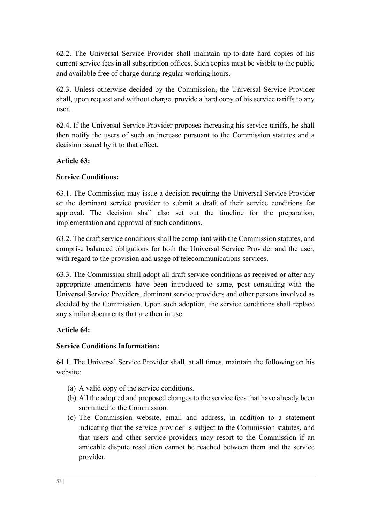62.2. The Universal Service Provider shall maintain up-to-date hard copies of his current service fees in all subscription offices. Such copies must be visible to the public and available free of charge during regular working hours.

62.3. Unless otherwise decided by the Commission, the Universal Service Provider shall, upon request and without charge, provide a hard copy of his service tariffs to any user.

62.4. If the Universal Service Provider proposes increasing his service tariffs, he shall then notify the users of such an increase pursuant to the Commission statutes and a decision issued by it to that effect.

# **Article 63:**

# **Service Conditions:**

63.1. The Commission may issue a decision requiring the Universal Service Provider or the dominant service provider to submit a draft of their service conditions for approval. The decision shall also set out the timeline for the preparation, implementation and approval of such conditions.

63.2. The draft service conditions shall be compliant with the Commission statutes, and comprise balanced obligations for both the Universal Service Provider and the user, with regard to the provision and usage of telecommunications services.

63.3. The Commission shall adopt all draft service conditions as received or after any appropriate amendments have been introduced to same, post consulting with the Universal Service Providers, dominant service providers and other persons involved as decided by the Commission. Upon such adoption, the service conditions shall replace any similar documents that are then in use.

# **Article 64:**

# **Service Conditions Information:**

64.1. The Universal Service Provider shall, at all times, maintain the following on his website:

- (a) A valid copy of the service conditions.
- (b) All the adopted and proposed changes to the service fees that have already been submitted to the Commission.
- (c) The Commission website, email and address, in addition to a statement indicating that the service provider is subject to the Commission statutes, and that users and other service providers may resort to the Commission if an amicable dispute resolution cannot be reached between them and the service provider.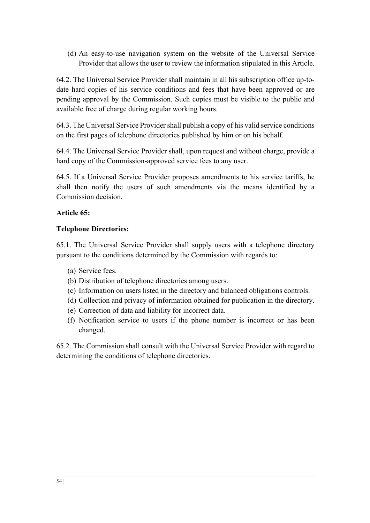(d) An easy-to-use navigation system on the website of the Universal Service Provider that allows the user to review the information stipulated in this Article.

64.2. The Universal Service Provider shall maintain in all his subscription office up-todate hard copies of his service conditions and fees that have been approved or are pending approval by the Commission. Such copies must be visible to the public and available free of charge during regular working hours.

64.3. The Universal Service Provider shall publish a copy of his valid service conditions on the first pages of telephone directories published by him or on his behalf.

64.4. The Universal Service Provider shall, upon request and without charge, provide a hard copy of the Commission-approved service fees to any user.

64.5. If a Universal Service Provider proposes amendments to his service tariffs, he shall then notify the users of such amendments via the means identified by a Commission decision.

# **Article 65:**

## **Telephone Directories:**

65.1. The Universal Service Provider shall supply users with a telephone directory pursuant to the conditions determined by the Commission with regards to:

- (a) Service fees.
- (b) Distribution of telephone directories among users.
- (c) Information on users listed in the directory and balanced obligations controls.
- (d) Collection and privacy of information obtained for publication in the directory.
- (e) Correction of data and liability for incorrect data.
- (f) Notification service to users if the phone number is incorrect or has been changed.

65.2. The Commission shall consult with the Universal Service Provider with regard to determining the conditions of telephone directories.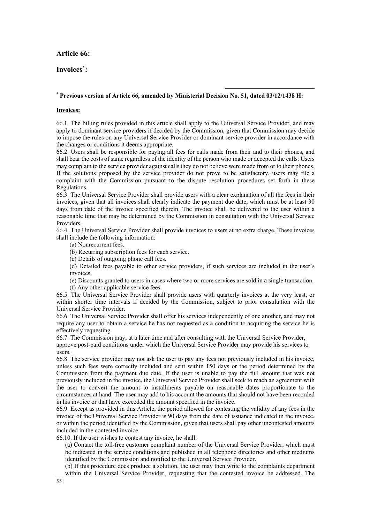#### **Article 66:**

#### **Invoices\* :**

#### \* **Previous version of Article 66, amended by Ministerial Decision No. 51, dated 03/12/1438 H:**

#### **Invoices:**

66.1. The billing rules provided in this article shall apply to the Universal Service Provider, and may apply to dominant service providers if decided by the Commission, given that Commission may decide to impose the rules on any Universal Service Provider or dominant service provider in accordance with the changes or conditions it deems appropriate.

66.2. Users shall be responsible for paying all fees for calls made from their and to their phones, and shall bear the costs of same regardless of the identity of the person who made or accepted the calls. Users may complain to the service provider against calls they do not believe were made from or to their phones. If the solutions proposed by the service provider do not prove to be satisfactory, users may file a complaint with the Commission pursuant to the dispute resolution procedures set forth in these Regulations.

66.3. The Universal Service Provider shall provide users with a clear explanation of all the fees in their invoices, given that all invoices shall clearly indicate the payment due date, which must be at least 30 days from date of the invoice specified therein. The invoice shall be delivered to the user within a reasonable time that may be determined by the Commission in consultation with the Universal Service Providers.

66.4. The Universal Service Provider shall provide invoices to users at no extra charge. These invoices shall include the following information:

- (a) Nonrecurrent fees.
- (b) Recurring subscription fees for each service.
- (c) Details of outgoing phone call fees.

(d) Detailed fees payable to other service providers, if such services are included in the user's invoices.

(e) Discounts granted to users in cases where two or more services are sold in a single transaction. (f) Any other applicable service fees.

66.5. The Universal Service Provider shall provide users with quarterly invoices at the very least, or within shorter time intervals if decided by the Commission, subject to prior consultation with the Universal Service Provider.

66.6. The Universal Service Provider shall offer his services independently of one another, and may not require any user to obtain a service he has not requested as a condition to acquiring the service he is effectively requesting.

66.7. The Commission may, at a later time and after consulting with the Universal Service Provider, approve post-paid conditions under which the Universal Service Provider may provide his services to users.

66.8. The service provider may not ask the user to pay any fees not previously included in his invoice, unless such fees were correctly included and sent within 150 days or the period determined by the Commission from the payment due date. If the user is unable to pay the full amount that was not previously included in the invoice, the Universal Service Provider shall seek to reach an agreement with the user to convert the amount to installments payable on reasonable dates proportionate to the circumstances at hand. The user may add to his account the amounts that should not have been recorded in his invoice or that have exceeded the amount specified in the invoice.

66.9. Except as provided in this Article, the period allowed for contesting the validity of any fees in the invoice of the Universal Service Provider is 90 days from the date of issuance indicated in the invoice, or within the period identified by the Commission, given that users shall pay other uncontested amounts included in the contested invoice.

66.10. If the user wishes to contest any invoice, he shall:

(a) Contact the toll-free customer complaint number of the Universal Service Provider, which must be indicated in the service conditions and published in all telephone directories and other mediums identified by the Commission and notified to the Universal Service Provider.

(b) If this procedure does produce a solution, the user may then write to the complaints department within the Universal Service Provider, requesting that the contested invoice be addressed. The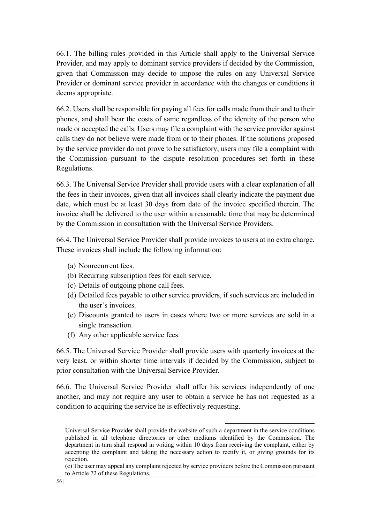66.1. The billing rules provided in this Article shall apply to the Universal Service Provider, and may apply to dominant service providers if decided by the Commission, given that Commission may decide to impose the rules on any Universal Service Provider or dominant service provider in accordance with the changes or conditions it deems appropriate.

66.2. Users shall be responsible for paying all fees for calls made from their and to their phones, and shall bear the costs of same regardless of the identity of the person who made or accepted the calls. Users may file a complaint with the service provider against calls they do not believe were made from or to their phones. If the solutions proposed by the service provider do not prove to be satisfactory, users may file a complaint with the Commission pursuant to the dispute resolution procedures set forth in these Regulations.

66.3. The Universal Service Provider shall provide users with a clear explanation of all the fees in their invoices, given that all invoices shall clearly indicate the payment due date, which must be at least 30 days from date of the invoice specified therein. The invoice shall be delivered to the user within a reasonable time that may be determined by the Commission in consultation with the Universal Service Providers.

66.4. The Universal Service Provider shall provide invoices to users at no extra charge. These invoices shall include the following information:

- (a) Nonrecurrent fees.
- (b) Recurring subscription fees for each service.
- (c) Details of outgoing phone call fees.
- (d) Detailed fees payable to other service providers, if such services are included in the user's invoices.
- (e) Discounts granted to users in cases where two or more services are sold in a single transaction.
- (f) Any other applicable service fees.

66.5. The Universal Service Provider shall provide users with quarterly invoices at the very least, or within shorter time intervals if decided by the Commission, subject to prior consultation with the Universal Service Provider.

66.6. The Universal Service Provider shall offer his services independently of one another, and may not require any user to obtain a service he has not requested as a condition to acquiring the service he is effectively requesting.

Universal Service Provider shall provide the website of such a department in the service conditions published in all telephone directories or other mediums identified by the Commission. The department in turn shall respond in writing within 10 days from receiving the complaint, either by accepting the complaint and taking the necessary action to rectify it, or giving grounds for its rejection.

<sup>(</sup>c) The user may appeal any complaint rejected by service providers before the Commission pursuant to Article 72 of these Regulations.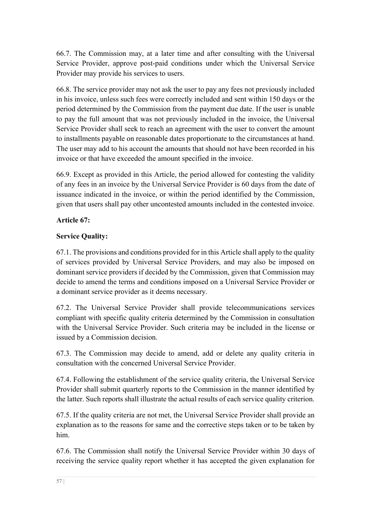66.7. The Commission may, at a later time and after consulting with the Universal Service Provider, approve post-paid conditions under which the Universal Service Provider may provide his services to users.

66.8. The service provider may not ask the user to pay any fees not previously included in his invoice, unless such fees were correctly included and sent within 150 days or the period determined by the Commission from the payment due date. If the user is unable to pay the full amount that was not previously included in the invoice, the Universal Service Provider shall seek to reach an agreement with the user to convert the amount to installments payable on reasonable dates proportionate to the circumstances at hand. The user may add to his account the amounts that should not have been recorded in his invoice or that have exceeded the amount specified in the invoice.

66.9. Except as provided in this Article, the period allowed for contesting the validity of any fees in an invoice by the Universal Service Provider is 60 days from the date of issuance indicated in the invoice, or within the period identified by the Commission, given that users shall pay other uncontested amounts included in the contested invoice.

# **Article 67:**

# **Service Quality:**

67.1. The provisions and conditions provided for in this Article shall apply to the quality of services provided by Universal Service Providers, and may also be imposed on dominant service providers if decided by the Commission, given that Commission may decide to amend the terms and conditions imposed on a Universal Service Provider or a dominant service provider as it deems necessary.

67.2. The Universal Service Provider shall provide telecommunications services compliant with specific quality criteria determined by the Commission in consultation with the Universal Service Provider. Such criteria may be included in the license or issued by a Commission decision.

67.3. The Commission may decide to amend, add or delete any quality criteria in consultation with the concerned Universal Service Provider.

67.4. Following the establishment of the service quality criteria, the Universal Service Provider shall submit quarterly reports to the Commission in the manner identified by the latter. Such reports shall illustrate the actual results of each service quality criterion.

67.5. If the quality criteria are not met, the Universal Service Provider shall provide an explanation as to the reasons for same and the corrective steps taken or to be taken by him.

67.6. The Commission shall notify the Universal Service Provider within 30 days of receiving the service quality report whether it has accepted the given explanation for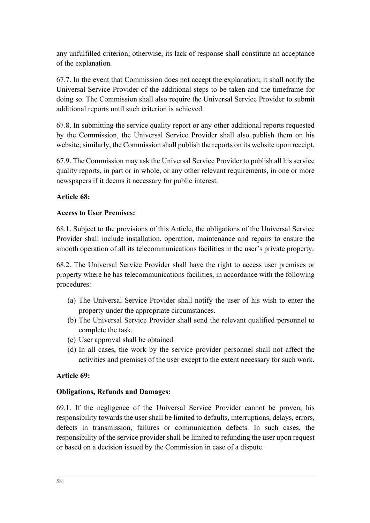any unfulfilled criterion; otherwise, its lack of response shall constitute an acceptance of the explanation.

67.7. In the event that Commission does not accept the explanation; it shall notify the Universal Service Provider of the additional steps to be taken and the timeframe for doing so. The Commission shall also require the Universal Service Provider to submit additional reports until such criterion is achieved.

67.8. In submitting the service quality report or any other additional reports requested by the Commission, the Universal Service Provider shall also publish them on his website; similarly, the Commission shall publish the reports on its website upon receipt.

67.9. The Commission may ask the Universal Service Provider to publish all his service quality reports, in part or in whole, or any other relevant requirements, in one or more newspapers if it deems it necessary for public interest.

#### **Article 68:**

#### **Access to User Premises:**

68.1. Subject to the provisions of this Article, the obligations of the Universal Service Provider shall include installation, operation, maintenance and repairs to ensure the smooth operation of all its telecommunications facilities in the user's private property.

68.2. The Universal Service Provider shall have the right to access user premises or property where he has telecommunications facilities, in accordance with the following procedures:

- (a) The Universal Service Provider shall notify the user of his wish to enter the property under the appropriate circumstances.
- (b) The Universal Service Provider shall send the relevant qualified personnel to complete the task.
- (c) User approval shall be obtained.
- (d) In all cases, the work by the service provider personnel shall not affect the activities and premises of the user except to the extent necessary for such work.

#### **Article 69:**

## **Obligations, Refunds and Damages:**

69.1. If the negligence of the Universal Service Provider cannot be proven, his responsibility towards the user shall be limited to defaults, interruptions, delays, errors, defects in transmission, failures or communication defects. In such cases, the responsibility of the service provider shall be limited to refunding the user upon request or based on a decision issued by the Commission in case of a dispute.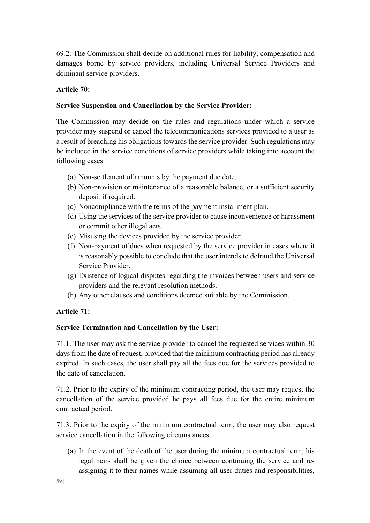69.2. The Commission shall decide on additional rules for liability, compensation and damages borne by service providers, including Universal Service Providers and dominant service providers.

# **Article 70:**

## **Service Suspension and Cancellation by the Service Provider:**

The Commission may decide on the rules and regulations under which a service provider may suspend or cancel the telecommunications services provided to a user as a result of breaching his obligations towards the service provider. Such regulations may be included in the service conditions of service providers while taking into account the following cases:

- (a) Non-settlement of amounts by the payment due date.
- (b) Non-provision or maintenance of a reasonable balance, or a sufficient security deposit if required.
- (c) Noncompliance with the terms of the payment installment plan.
- (d) Using the services of the service provider to cause inconvenience or harassment or commit other illegal acts.
- (e) Misusing the devices provided by the service provider.
- (f) Non-payment of dues when requested by the service provider in cases where it is reasonably possible to conclude that the user intends to defraud the Universal Service Provider.
- (g) Existence of logical disputes regarding the invoices between users and service providers and the relevant resolution methods.
- (h) Any other clauses and conditions deemed suitable by the Commission.

# **Article 71:**

## **Service Termination and Cancellation by the User:**

71.1. The user may ask the service provider to cancel the requested services within 30 days from the date of request, provided that the minimum contracting period has already expired. In such cases, the user shall pay all the fees due for the services provided to the date of cancelation.

71.2. Prior to the expiry of the minimum contracting period, the user may request the cancellation of the service provided he pays all fees due for the entire minimum contractual period.

71.3. Prior to the expiry of the minimum contractual term, the user may also request service cancellation in the following circumstances:

(a) In the event of the death of the user during the minimum contractual term, his legal heirs shall be given the choice between continuing the service and reassigning it to their names while assuming all user duties and responsibilities,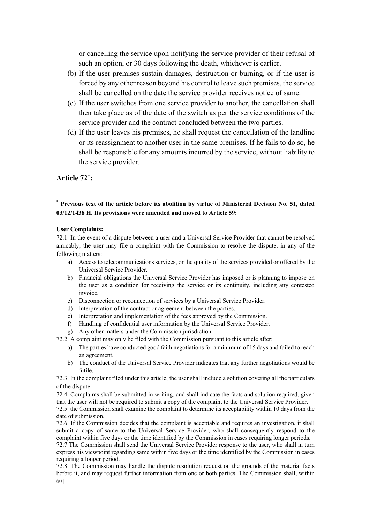or cancelling the service upon notifying the service provider of their refusal of such an option, or 30 days following the death, whichever is earlier.

- (b) If the user premises sustain damages, destruction or burning, or if the user is forced by any other reason beyond his control to leave such premises, the service shall be cancelled on the date the service provider receives notice of same.
- (c) If the user switches from one service provider to another, the cancellation shall then take place as of the date of the switch as per the service conditions of the service provider and the contract concluded between the two parties.
- (d) If the user leaves his premises, he shall request the cancellation of the landline or its reassignment to another user in the same premises. If he fails to do so, he shall be responsible for any amounts incurred by the service, without liability to the service provider.

#### **Article 72\* :**

#### \* **Previous text of the article before its abolition by virtue of Ministerial Decision No. 51, dated 03/12/1438 H. Its provisions were amended and moved to Article 59:**

#### **User Complaints:**

72.1. In the event of a dispute between a user and a Universal Service Provider that cannot be resolved amicably, the user may file a complaint with the Commission to resolve the dispute, in any of the following matters:

- a) Access to telecommunications services, or the quality of the services provided or offered by the Universal Service Provider.
- b) Financial obligations the Universal Service Provider has imposed or is planning to impose on the user as a condition for receiving the service or its continuity, including any contested invoice.
- c) Disconnection or reconnection of services by a Universal Service Provider.
- d) Interpretation of the contract or agreement between the parties.
- e) Interpretation and implementation of the fees approved by the Commission.
- f) Handling of confidential user information by the Universal Service Provider.
- g) Any other matters under the Commission jurisdiction.

72.2. A complaint may only be filed with the Commission pursuant to this article after:

- a) The parties have conducted good faith negotiations for a minimum of 15 days and failed to reach an agreement.
- b) The conduct of the Universal Service Provider indicates that any further negotiations would be futile.

72.3. In the complaint filed under this article, the user shall include a solution covering all the particulars of the dispute.

72.4. Complaints shall be submitted in writing, and shall indicate the facts and solution required, given that the user will not be required to submit a copy of the complaint to the Universal Service Provider.

72.5. the Commission shall examine the complaint to determine its acceptability within 10 days from the date of submission.

72.6. If the Commission decides that the complaint is acceptable and requires an investigation, it shall submit a copy of same to the Universal Service Provider, who shall consequently respond to the complaint within five days or the time identified by the Commission in cases requiring longer periods.

72.7 The Commission shall send the Universal Service Provider response to the user, who shall in turn express his viewpoint regarding same within five days or the time identified by the Commission in cases requiring a longer period.

60 | 72.8. The Commission may handle the dispute resolution request on the grounds of the material facts before it, and may request further information from one or both parties. The Commission shall, within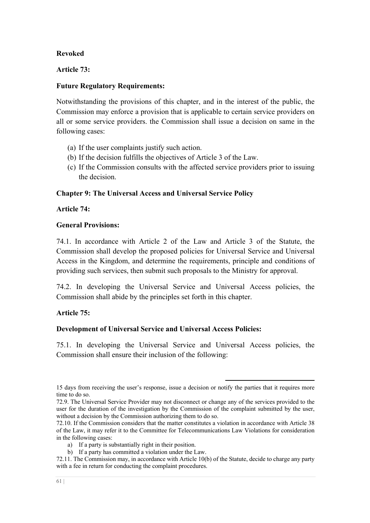#### **Revoked**

#### **Article 73:**

#### **Future Regulatory Requirements:**

Notwithstanding the provisions of this chapter, and in the interest of the public, the Commission may enforce a provision that is applicable to certain service providers on all or some service providers. the Commission shall issue a decision on same in the following cases:

- (a) If the user complaints justify such action.
- (b) If the decision fulfills the objectives of Article 3 of the Law.
- (c) If the Commission consults with the affected service providers prior to issuing the decision.

#### **Chapter 9: The Universal Access and Universal Service Policy**

#### **Article 74:**

#### **General Provisions:**

74.1. In accordance with Article 2 of the Law and Article 3 of the Statute, the Commission shall develop the proposed policies for Universal Service and Universal Access in the Kingdom, and determine the requirements, principle and conditions of providing such services, then submit such proposals to the Ministry for approval.

74.2. In developing the Universal Service and Universal Access policies, the Commission shall abide by the principles set forth in this chapter.

## **Article 75:**

## **Development of Universal Service and Universal Access Policies:**

75.1. In developing the Universal Service and Universal Access policies, the Commission shall ensure their inclusion of the following:

<sup>15</sup> days from receiving the user's response, issue a decision or notify the parties that it requires more time to do so.

<sup>72.9.</sup> The Universal Service Provider may not disconnect or change any of the services provided to the user for the duration of the investigation by the Commission of the complaint submitted by the user, without a decision by the Commission authorizing them to do so.

<sup>72.10.</sup> If the Commission considers that the matter constitutes a violation in accordance with Article 38 of the Law, it may refer it to the Committee for Telecommunications Law Violations for consideration in the following cases:

a) If a party is substantially right in their position.

b) If a party has committed a violation under the Law.

<sup>72.11.</sup> The Commission may, in accordance with Article 10(b) of the Statute, decide to charge any party with a fee in return for conducting the complaint procedures.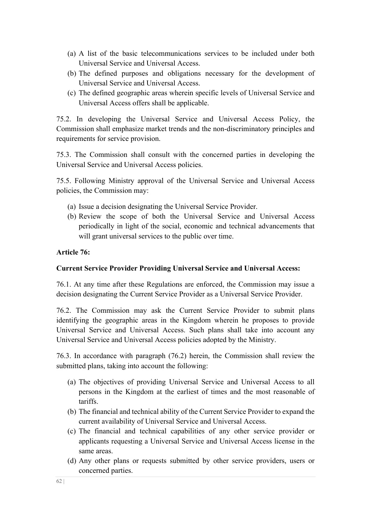- (a) A list of the basic telecommunications services to be included under both Universal Service and Universal Access.
- (b) The defined purposes and obligations necessary for the development of Universal Service and Universal Access.
- (c) The defined geographic areas wherein specific levels of Universal Service and Universal Access offers shall be applicable.

75.2. In developing the Universal Service and Universal Access Policy, the Commission shall emphasize market trends and the non-discriminatory principles and requirements for service provision.

75.3. The Commission shall consult with the concerned parties in developing the Universal Service and Universal Access policies.

75.5. Following Ministry approval of the Universal Service and Universal Access policies, the Commission may:

- (a) Issue a decision designating the Universal Service Provider.
- (b) Review the scope of both the Universal Service and Universal Access periodically in light of the social, economic and technical advancements that will grant universal services to the public over time.

#### **Article 76:**

#### **Current Service Provider Providing Universal Service and Universal Access:**

76.1. At any time after these Regulations are enforced, the Commission may issue a decision designating the Current Service Provider as a Universal Service Provider.

76.2. The Commission may ask the Current Service Provider to submit plans identifying the geographic areas in the Kingdom wherein he proposes to provide Universal Service and Universal Access. Such plans shall take into account any Universal Service and Universal Access policies adopted by the Ministry.

76.3. In accordance with paragraph (76.2) herein, the Commission shall review the submitted plans, taking into account the following:

- (a) The objectives of providing Universal Service and Universal Access to all persons in the Kingdom at the earliest of times and the most reasonable of tariffs.
- (b) The financial and technical ability of the Current Service Provider to expand the current availability of Universal Service and Universal Access.
- (c) The financial and technical capabilities of any other service provider or applicants requesting a Universal Service and Universal Access license in the same areas.
- (d) Any other plans or requests submitted by other service providers, users or concerned parties.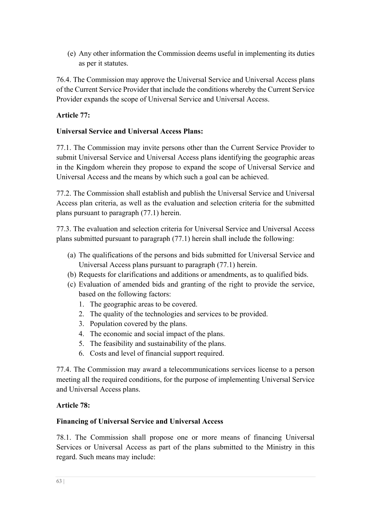(e) Any other information the Commission deems useful in implementing its duties as per it statutes.

76.4. The Commission may approve the Universal Service and Universal Access plans of the Current Service Provider that include the conditions whereby the Current Service Provider expands the scope of Universal Service and Universal Access.

# **Article 77:**

## **Universal Service and Universal Access Plans:**

77.1. The Commission may invite persons other than the Current Service Provider to submit Universal Service and Universal Access plans identifying the geographic areas in the Kingdom wherein they propose to expand the scope of Universal Service and Universal Access and the means by which such a goal can be achieved.

77.2. The Commission shall establish and publish the Universal Service and Universal Access plan criteria, as well as the evaluation and selection criteria for the submitted plans pursuant to paragraph (77.1) herein.

77.3. The evaluation and selection criteria for Universal Service and Universal Access plans submitted pursuant to paragraph (77.1) herein shall include the following:

- (a) The qualifications of the persons and bids submitted for Universal Service and Universal Access plans pursuant to paragraph (77.1) herein.
- (b) Requests for clarifications and additions or amendments, as to qualified bids.
- (c) Evaluation of amended bids and granting of the right to provide the service, based on the following factors:
	- 1. The geographic areas to be covered.
	- 2. The quality of the technologies and services to be provided.
	- 3. Population covered by the plans.
	- 4. The economic and social impact of the plans.
	- 5. The feasibility and sustainability of the plans.
	- 6. Costs and level of financial support required.

77.4. The Commission may award a telecommunications services license to a person meeting all the required conditions, for the purpose of implementing Universal Service and Universal Access plans.

## **Article 78:**

## **Financing of Universal Service and Universal Access**

78.1. The Commission shall propose one or more means of financing Universal Services or Universal Access as part of the plans submitted to the Ministry in this regard. Such means may include: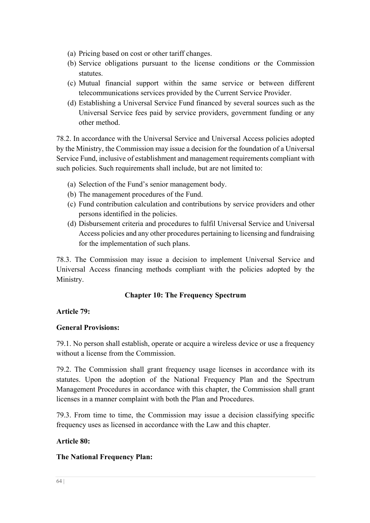- (a) Pricing based on cost or other tariff changes.
- (b) Service obligations pursuant to the license conditions or the Commission statutes.
- (c) Mutual financial support within the same service or between different telecommunications services provided by the Current Service Provider.
- (d) Establishing a Universal Service Fund financed by several sources such as the Universal Service fees paid by service providers, government funding or any other method.

78.2. In accordance with the Universal Service and Universal Access policies adopted by the Ministry, the Commission may issue a decision for the foundation of a Universal Service Fund, inclusive of establishment and management requirements compliant with such policies. Such requirements shall include, but are not limited to:

- (a) Selection of the Fund's senior management body.
- (b) The management procedures of the Fund.
- (c) Fund contribution calculation and contributions by service providers and other persons identified in the policies.
- (d) Disbursement criteria and procedures to fulfil Universal Service and Universal Access policies and any other procedures pertaining to licensing and fundraising for the implementation of such plans.

78.3. The Commission may issue a decision to implement Universal Service and Universal Access financing methods compliant with the policies adopted by the Ministry.

# **Chapter 10: The Frequency Spectrum**

## **Article 79:**

## **General Provisions:**

79.1. No person shall establish, operate or acquire a wireless device or use a frequency without a license from the Commission.

79.2. The Commission shall grant frequency usage licenses in accordance with its statutes. Upon the adoption of the National Frequency Plan and the Spectrum Management Procedures in accordance with this chapter, the Commission shall grant licenses in a manner complaint with both the Plan and Procedures.

79.3. From time to time, the Commission may issue a decision classifying specific frequency uses as licensed in accordance with the Law and this chapter.

## **Article 80:**

## **The National Frequency Plan:**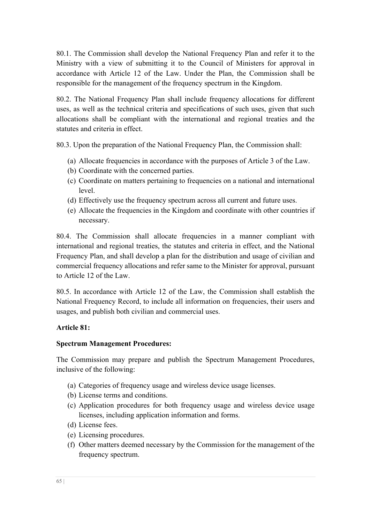80.1. The Commission shall develop the National Frequency Plan and refer it to the Ministry with a view of submitting it to the Council of Ministers for approval in accordance with Article 12 of the Law. Under the Plan, the Commission shall be responsible for the management of the frequency spectrum in the Kingdom.

80.2. The National Frequency Plan shall include frequency allocations for different uses, as well as the technical criteria and specifications of such uses, given that such allocations shall be compliant with the international and regional treaties and the statutes and criteria in effect.

80.3. Upon the preparation of the National Frequency Plan, the Commission shall:

- (a) Allocate frequencies in accordance with the purposes of Article 3 of the Law.
- (b) Coordinate with the concerned parties.
- (c) Coordinate on matters pertaining to frequencies on a national and international level.
- (d) Effectively use the frequency spectrum across all current and future uses.
- (e) Allocate the frequencies in the Kingdom and coordinate with other countries if necessary.

80.4. The Commission shall allocate frequencies in a manner compliant with international and regional treaties, the statutes and criteria in effect, and the National Frequency Plan, and shall develop a plan for the distribution and usage of civilian and commercial frequency allocations and refer same to the Minister for approval, pursuant to Article 12 of the Law.

80.5. In accordance with Article 12 of the Law, the Commission shall establish the National Frequency Record, to include all information on frequencies, their users and usages, and publish both civilian and commercial uses.

#### **Article 81:**

#### **Spectrum Management Procedures:**

The Commission may prepare and publish the Spectrum Management Procedures, inclusive of the following:

- (a) Categories of frequency usage and wireless device usage licenses.
- (b) License terms and conditions.
- (c) Application procedures for both frequency usage and wireless device usage licenses, including application information and forms.
- (d) License fees.
- (e) Licensing procedures.
- (f) Other matters deemed necessary by the Commission for the management of the frequency spectrum.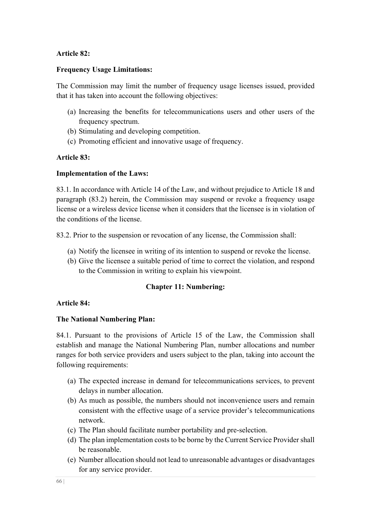#### **Article 82:**

#### **Frequency Usage Limitations:**

The Commission may limit the number of frequency usage licenses issued, provided that it has taken into account the following objectives:

- (a) Increasing the benefits for telecommunications users and other users of the frequency spectrum.
- (b) Stimulating and developing competition.
- (c) Promoting efficient and innovative usage of frequency.

#### **Article 83:**

#### **Implementation of the Laws:**

83.1. In accordance with Article 14 of the Law, and without prejudice to Article 18 and paragraph (83.2) herein, the Commission may suspend or revoke a frequency usage license or a wireless device license when it considers that the licensee is in violation of the conditions of the license.

83.2. Prior to the suspension or revocation of any license, the Commission shall:

- (a) Notify the licensee in writing of its intention to suspend or revoke the license.
- (b) Give the licensee a suitable period of time to correct the violation, and respond to the Commission in writing to explain his viewpoint.

#### **Chapter 11: Numbering:**

#### **Article 84:**

#### **The National Numbering Plan:**

84.1. Pursuant to the provisions of Article 15 of the Law, the Commission shall establish and manage the National Numbering Plan, number allocations and number ranges for both service providers and users subject to the plan, taking into account the following requirements:

- (a) The expected increase in demand for telecommunications services, to prevent delays in number allocation.
- (b) As much as possible, the numbers should not inconvenience users and remain consistent with the effective usage of a service provider's telecommunications network.
- (c) The Plan should facilitate number portability and pre-selection.
- (d) The plan implementation costs to be borne by the Current Service Provider shall be reasonable.
- (e) Number allocation should not lead to unreasonable advantages or disadvantages for any service provider.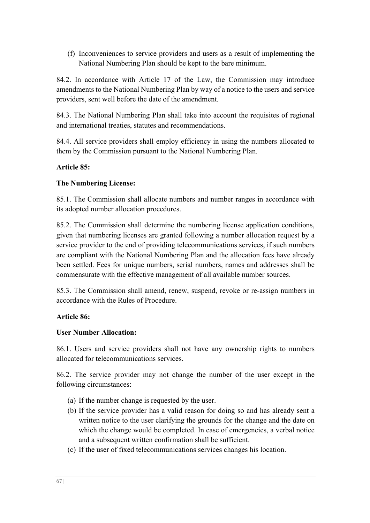(f) Inconveniences to service providers and users as a result of implementing the National Numbering Plan should be kept to the bare minimum.

84.2. In accordance with Article 17 of the Law, the Commission may introduce amendments to the National Numbering Plan by way of a notice to the users and service providers, sent well before the date of the amendment.

84.3. The National Numbering Plan shall take into account the requisites of regional and international treaties, statutes and recommendations.

84.4. All service providers shall employ efficiency in using the numbers allocated to them by the Commission pursuant to the National Numbering Plan.

# **Article 85:**

# **The Numbering License:**

85.1. The Commission shall allocate numbers and number ranges in accordance with its adopted number allocation procedures.

85.2. The Commission shall determine the numbering license application conditions, given that numbering licenses are granted following a number allocation request by a service provider to the end of providing telecommunications services, if such numbers are compliant with the National Numbering Plan and the allocation fees have already been settled. Fees for unique numbers, serial numbers, names and addresses shall be commensurate with the effective management of all available number sources.

85.3. The Commission shall amend, renew, suspend, revoke or re-assign numbers in accordance with the Rules of Procedure.

## **Article 86:**

## **User Number Allocation:**

86.1. Users and service providers shall not have any ownership rights to numbers allocated for telecommunications services.

86.2. The service provider may not change the number of the user except in the following circumstances:

- (a) If the number change is requested by the user.
- (b) If the service provider has a valid reason for doing so and has already sent a written notice to the user clarifying the grounds for the change and the date on which the change would be completed. In case of emergencies, a verbal notice and a subsequent written confirmation shall be sufficient.
- (c) If the user of fixed telecommunications services changes his location.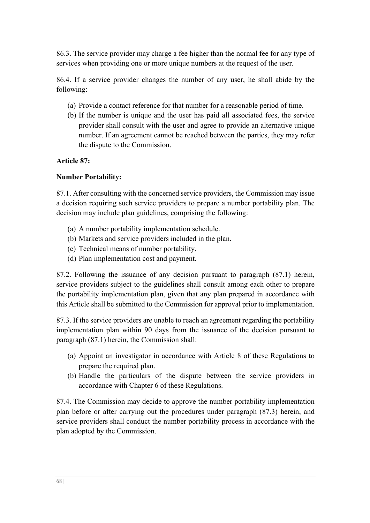86.3. The service provider may charge a fee higher than the normal fee for any type of services when providing one or more unique numbers at the request of the user.

86.4. If a service provider changes the number of any user, he shall abide by the following:

- (a) Provide a contact reference for that number for a reasonable period of time.
- (b) If the number is unique and the user has paid all associated fees, the service provider shall consult with the user and agree to provide an alternative unique number. If an agreement cannot be reached between the parties, they may refer the dispute to the Commission.

#### **Article 87:**

#### **Number Portability:**

87.1. After consulting with the concerned service providers, the Commission may issue a decision requiring such service providers to prepare a number portability plan. The decision may include plan guidelines, comprising the following:

- (a) A number portability implementation schedule.
- (b) Markets and service providers included in the plan.
- (c) Technical means of number portability.
- (d) Plan implementation cost and payment.

87.2. Following the issuance of any decision pursuant to paragraph (87.1) herein, service providers subject to the guidelines shall consult among each other to prepare the portability implementation plan, given that any plan prepared in accordance with this Article shall be submitted to the Commission for approval prior to implementation.

87.3. If the service providers are unable to reach an agreement regarding the portability implementation plan within 90 days from the issuance of the decision pursuant to paragraph (87.1) herein, the Commission shall:

- (a) Appoint an investigator in accordance with Article 8 of these Regulations to prepare the required plan.
- (b) Handle the particulars of the dispute between the service providers in accordance with Chapter 6 of these Regulations.

87.4. The Commission may decide to approve the number portability implementation plan before or after carrying out the procedures under paragraph (87.3) herein, and service providers shall conduct the number portability process in accordance with the plan adopted by the Commission.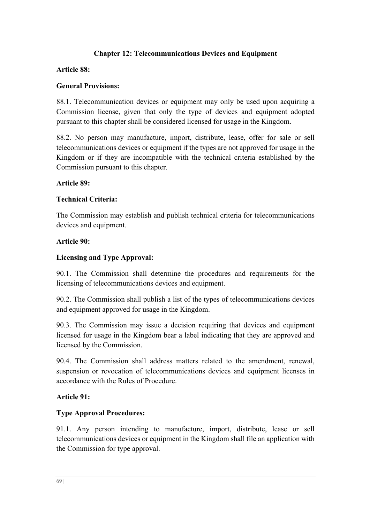# **Chapter 12: Telecommunications Devices and Equipment**

#### **Article 88:**

#### **General Provisions:**

88.1. Telecommunication devices or equipment may only be used upon acquiring a Commission license, given that only the type of devices and equipment adopted pursuant to this chapter shall be considered licensed for usage in the Kingdom.

88.2. No person may manufacture, import, distribute, lease, offer for sale or sell telecommunications devices or equipment if the types are not approved for usage in the Kingdom or if they are incompatible with the technical criteria established by the Commission pursuant to this chapter.

#### **Article 89:**

#### **Technical Criteria:**

The Commission may establish and publish technical criteria for telecommunications devices and equipment.

#### **Article 90:**

## **Licensing and Type Approval:**

90.1. The Commission shall determine the procedures and requirements for the licensing of telecommunications devices and equipment.

90.2. The Commission shall publish a list of the types of telecommunications devices and equipment approved for usage in the Kingdom.

90.3. The Commission may issue a decision requiring that devices and equipment licensed for usage in the Kingdom bear a label indicating that they are approved and licensed by the Commission.

90.4. The Commission shall address matters related to the amendment, renewal, suspension or revocation of telecommunications devices and equipment licenses in accordance with the Rules of Procedure.

## **Article 91:**

## **Type Approval Procedures:**

91.1. Any person intending to manufacture, import, distribute, lease or sell telecommunications devices or equipment in the Kingdom shall file an application with the Commission for type approval.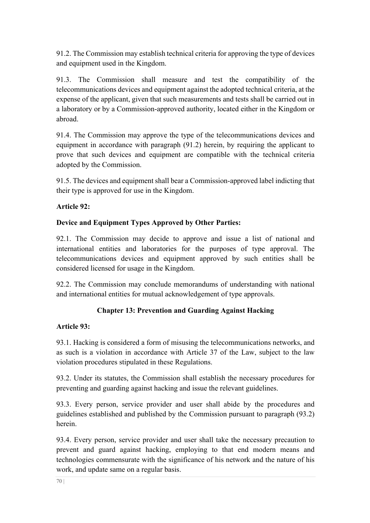91.2. The Commission may establish technical criteria for approving the type of devices and equipment used in the Kingdom.

91.3. The Commission shall measure and test the compatibility of the telecommunications devices and equipment against the adopted technical criteria, at the expense of the applicant, given that such measurements and tests shall be carried out in a laboratory or by a Commission-approved authority, located either in the Kingdom or abroad.

91.4. The Commission may approve the type of the telecommunications devices and equipment in accordance with paragraph (91.2) herein, by requiring the applicant to prove that such devices and equipment are compatible with the technical criteria adopted by the Commission.

91.5. The devices and equipment shall bear a Commission-approved label indicting that their type is approved for use in the Kingdom.

# **Article 92:**

# **Device and Equipment Types Approved by Other Parties:**

92.1. The Commission may decide to approve and issue a list of national and international entities and laboratories for the purposes of type approval. The telecommunications devices and equipment approved by such entities shall be considered licensed for usage in the Kingdom.

92.2. The Commission may conclude memorandums of understanding with national and international entities for mutual acknowledgement of type approvals.

# **Chapter 13: Prevention and Guarding Against Hacking**

## **Article 93:**

93.1. Hacking is considered a form of misusing the telecommunications networks, and as such is a violation in accordance with Article 37 of the Law, subject to the law violation procedures stipulated in these Regulations.

93.2. Under its statutes, the Commission shall establish the necessary procedures for preventing and guarding against hacking and issue the relevant guidelines.

93.3. Every person, service provider and user shall abide by the procedures and guidelines established and published by the Commission pursuant to paragraph (93.2) herein.

93.4. Every person, service provider and user shall take the necessary precaution to prevent and guard against hacking, employing to that end modern means and technologies commensurate with the significance of his network and the nature of his work, and update same on a regular basis.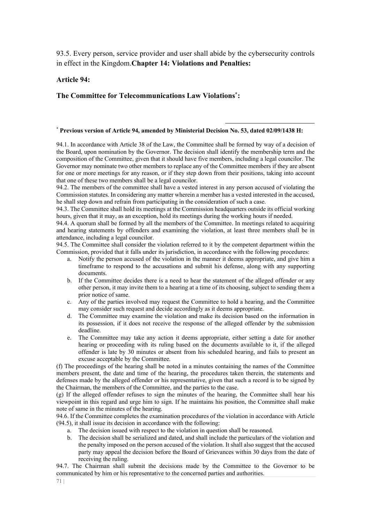93.5. Every person, service provider and user shall abide by the cybersecurity controls in effect in the Kingdom.**Chapter 14: Violations and Penalties:**

#### **Article 94:**

#### **The Committee for Telecommunications Law Violations\*:**

#### \* **Previous version of Article 94, amended by Ministerial Decision No. 53, dated 02/09/1438 H:**

94.1. In accordance with Article 38 of the Law, the Committee shall be formed by way of a decision of the Board, upon nomination by the Governor. The decision shall identify the membership term and the composition of the Committee, given that it should have five members, including a legal councilor. The Governor may nominate two other members to replace any of the Committee members if they are absent for one or more meetings for any reason, or if they step down from their positions, taking into account that one of these two members shall be a legal councilor.

94.2. The members of the committee shall have a vested interest in any person accused of violating the Commission statutes. In considering any matter wherein a member has a vested interested in the accused, he shall step down and refrain from participating in the consideration of such a case.

94.3. The Committee shall hold its meetings at the Commission headquarters outside its official working hours, given that it may, as an exception, hold its meetings during the working hours if needed.

94.4. A quorum shall be formed by all the members of the Committee. In meetings related to acquiring and hearing statements by offenders and examining the violation, at least three members shall be in attendance, including a legal councilor.

94.5. The Committee shall consider the violation referred to it by the competent department within the Commission, provided that it falls under its jurisdiction, in accordance with the following procedures:

- a. Notify the person accused of the violation in the manner it deems appropriate, and give him a timeframe to respond to the accusations and submit his defense, along with any supporting documents.
- b. If the Committee decides there is a need to hear the statement of the alleged offender or any other person, it may invite them to a hearing at a time of its choosing, subject to sending them a prior notice of same.
- c. Any of the parties involved may request the Committee to hold a hearing, and the Committee may consider such request and decide accordingly as it deems appropriate.
- d. The Committee may examine the violation and make its decision based on the information in its possession, if it does not receive the response of the alleged offender by the submission deadline.
- e. The Committee may take any action it deems appropriate, either setting a date for another hearing or proceeding with its ruling based on the documents available to it, if the alleged offender is late by 30 minutes or absent from his scheduled hearing, and fails to present an excuse acceptable by the Committee.

(f) The proceedings of the hearing shall be noted in a minutes containing the names of the Committee members present, the date and time of the hearing, the procedures taken therein, the statements and defenses made by the alleged offender or his representative, given that such a record is to be signed by the Chairman, the members of the Committee, and the parties to the case.

(g) If the alleged offender refuses to sign the minutes of the hearing, the Committee shall hear his viewpoint in this regard and urge him to sign. If he maintains his position, the Committee shall make note of same in the minutes of the hearing.

94.6. If the Committee completes the examination procedures of the violation in accordance with Article (94.5), it shall issue its decision in accordance with the following:

- a. The decision issued with respect to the violation in question shall be reasoned.
- b. The decision shall be serialized and dated, and shall include the particulars of the violation and the penalty imposed on the person accused of the violation. It shall also suggest that the accused party may appeal the decision before the Board of Grievances within 30 days from the date of receiving the ruling.

94.7. The Chairman shall submit the decisions made by the Committee to the Governor to be communicated by him or his representative to the concerned parties and authorities.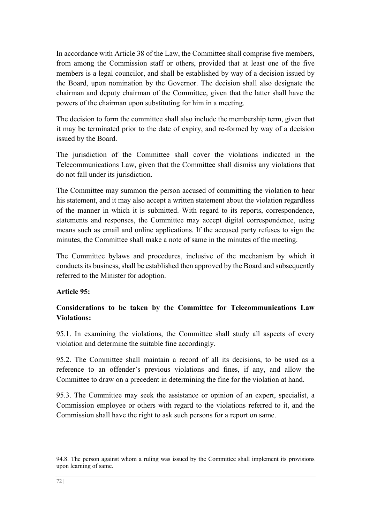In accordance with Article 38 of the Law, the Committee shall comprise five members, from among the Commission staff or others, provided that at least one of the five members is a legal councilor, and shall be established by way of a decision issued by the Board, upon nomination by the Governor. The decision shall also designate the chairman and deputy chairman of the Committee, given that the latter shall have the powers of the chairman upon substituting for him in a meeting.

The decision to form the committee shall also include the membership term, given that it may be terminated prior to the date of expiry, and re-formed by way of a decision issued by the Board.

The jurisdiction of the Committee shall cover the violations indicated in the Telecommunications Law, given that the Committee shall dismiss any violations that do not fall under its jurisdiction.

The Committee may summon the person accused of committing the violation to hear his statement, and it may also accept a written statement about the violation regardless of the manner in which it is submitted. With regard to its reports, correspondence, statements and responses, the Committee may accept digital correspondence, using means such as email and online applications. If the accused party refuses to sign the minutes, the Committee shall make a note of same in the minutes of the meeting.

The Committee bylaws and procedures, inclusive of the mechanism by which it conducts its business, shall be established then approved by the Board and subsequently referred to the Minister for adoption.

## **Article 95:**

# **Considerations to be taken by the Committee for Telecommunications Law Violations:**

95.1. In examining the violations, the Committee shall study all aspects of every violation and determine the suitable fine accordingly.

95.2. The Committee shall maintain a record of all its decisions, to be used as a reference to an offender's previous violations and fines, if any, and allow the Committee to draw on a precedent in determining the fine for the violation at hand.

95.3. The Committee may seek the assistance or opinion of an expert, specialist, a Commission employee or others with regard to the violations referred to it, and the Commission shall have the right to ask such persons for a report on same.

<sup>94.8.</sup> The person against whom a ruling was issued by the Committee shall implement its provisions upon learning of same.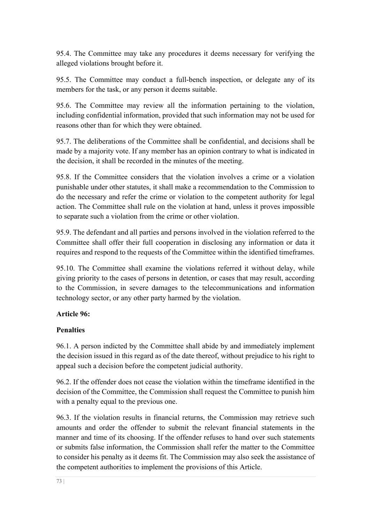95.4. The Committee may take any procedures it deems necessary for verifying the alleged violations brought before it.

95.5. The Committee may conduct a full-bench inspection, or delegate any of its members for the task, or any person it deems suitable.

95.6. The Committee may review all the information pertaining to the violation, including confidential information, provided that such information may not be used for reasons other than for which they were obtained.

95.7. The deliberations of the Committee shall be confidential, and decisions shall be made by a majority vote. If any member has an opinion contrary to what is indicated in the decision, it shall be recorded in the minutes of the meeting.

95.8. If the Committee considers that the violation involves a crime or a violation punishable under other statutes, it shall make a recommendation to the Commission to do the necessary and refer the crime or violation to the competent authority for legal action. The Committee shall rule on the violation at hand, unless it proves impossible to separate such a violation from the crime or other violation.

95.9. The defendant and all parties and persons involved in the violation referred to the Committee shall offer their full cooperation in disclosing any information or data it requires and respond to the requests of the Committee within the identified timeframes.

95.10. The Committee shall examine the violations referred it without delay, while giving priority to the cases of persons in detention, or cases that may result, according to the Commission, in severe damages to the telecommunications and information technology sector, or any other party harmed by the violation.

### **Article 96:**

## **Penalties**

96.1. A person indicted by the Committee shall abide by and immediately implement the decision issued in this regard as of the date thereof, without prejudice to his right to appeal such a decision before the competent judicial authority.

96.2. If the offender does not cease the violation within the timeframe identified in the decision of the Committee, the Commission shall request the Committee to punish him with a penalty equal to the previous one.

96.3. If the violation results in financial returns, the Commission may retrieve such amounts and order the offender to submit the relevant financial statements in the manner and time of its choosing. If the offender refuses to hand over such statements or submits false information, the Commission shall refer the matter to the Committee to consider his penalty as it deems fit. The Commission may also seek the assistance of the competent authorities to implement the provisions of this Article.